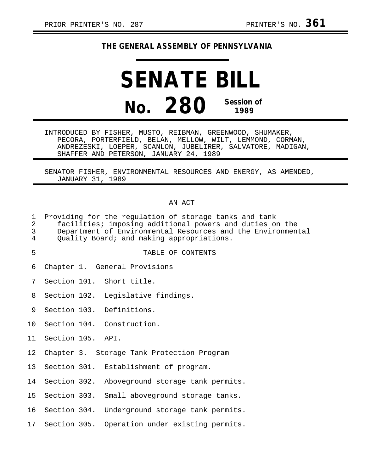## **THE GENERAL ASSEMBLY OF PENNSYLVANIA**

# **SENATE BILL No. 280 Session of 1989**

INTRODUCED BY FISHER, MUSTO, REIBMAN, GREENWOOD, SHUMAKER, PECORA, PORTERFIELD, BELAN, MELLOW, WILT, LEMMOND, CORMAN, ANDREZESKI, LOEPER, SCANLON, JUBELIRER, SALVATORE, MADIGAN, SHAFFER AND PETERSON, JANUARY 24, 1989

SENATOR FISHER, ENVIRONMENTAL RESOURCES AND ENERGY, AS AMENDED, JANUARY 31, 1989

#### AN ACT

| $\mathbf 1$<br>2<br>3<br>4 | Providing for the regulation of storage tanks and tank<br>facilities; imposing additional powers and duties on the<br>Department of Environmental Resources and the Environmental<br>Quality Board; and making appropriations. |  |                                                |  |  |
|----------------------------|--------------------------------------------------------------------------------------------------------------------------------------------------------------------------------------------------------------------------------|--|------------------------------------------------|--|--|
| 5                          |                                                                                                                                                                                                                                |  | TABLE OF CONTENTS                              |  |  |
| 6                          |                                                                                                                                                                                                                                |  | Chapter 1. General Provisions                  |  |  |
| 7                          |                                                                                                                                                                                                                                |  | Section 101. Short title.                      |  |  |
| 8                          |                                                                                                                                                                                                                                |  | Section 102. Legislative findings.             |  |  |
| 9                          |                                                                                                                                                                                                                                |  | Section 103. Definitions.                      |  |  |
| 10                         |                                                                                                                                                                                                                                |  | Section 104. Construction.                     |  |  |
| 11                         | Section 105. API.                                                                                                                                                                                                              |  |                                                |  |  |
| 12                         |                                                                                                                                                                                                                                |  | Chapter 3. Storage Tank Protection Program     |  |  |
| 13 <sup>2</sup>            |                                                                                                                                                                                                                                |  | Section 301. Establishment of program.         |  |  |
| 14                         |                                                                                                                                                                                                                                |  | Section 302. Aboveground storage tank permits. |  |  |
| 15                         |                                                                                                                                                                                                                                |  | Section 303. Small aboveground storage tanks.  |  |  |
| 16                         |                                                                                                                                                                                                                                |  | Section 304. Underground storage tank permits. |  |  |
| 17 <sub>2</sub>            |                                                                                                                                                                                                                                |  | Section 305. Operation under existing permits. |  |  |
|                            |                                                                                                                                                                                                                                |  |                                                |  |  |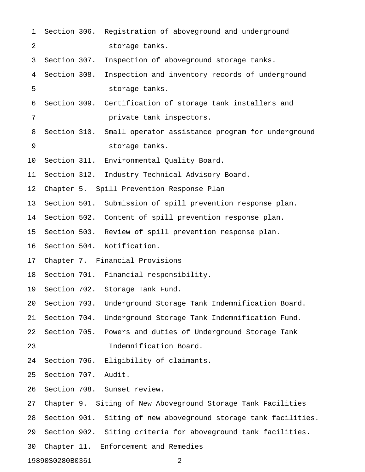| $\mathbf 1$              |              |  | Section 306. Registration of aboveground and underground        |  |  |
|--------------------------|--------------|--|-----------------------------------------------------------------|--|--|
| 2                        |              |  | storage tanks.                                                  |  |  |
| 3                        | Section 307. |  | Inspection of aboveground storage tanks.                        |  |  |
| 4                        | Section 308. |  | Inspection and inventory records of underground                 |  |  |
| 5                        |              |  | storage tanks.                                                  |  |  |
| 6                        |              |  | Section 309. Certification of storage tank installers and       |  |  |
| 7                        |              |  | private tank inspectors.                                        |  |  |
| 8                        | Section 310. |  | Small operator assistance program for underground               |  |  |
| 9                        |              |  | storage tanks.                                                  |  |  |
| 10                       |              |  | Section 311. Environmental Quality Board.                       |  |  |
| 11                       | Section 312. |  | Industry Technical Advisory Board.                              |  |  |
| 12                       |              |  | Chapter 5. Spill Prevention Response Plan                       |  |  |
| 13                       |              |  | Section 501. Submission of spill prevention response plan.      |  |  |
| 14                       |              |  | Section 502. Content of spill prevention response plan.         |  |  |
| 15                       |              |  | Section 503. Review of spill prevention response plan.          |  |  |
| 16                       |              |  | Section 504. Notification.                                      |  |  |
| 17                       |              |  | Chapter 7. Financial Provisions                                 |  |  |
| 18                       |              |  | Section 701. Financial responsibility.                          |  |  |
| 19                       |              |  | Section 702. Storage Tank Fund.                                 |  |  |
| 20                       | Section 703. |  | Underground Storage Tank Indemnification Board.                 |  |  |
| 21                       | Section 704. |  | Underground Storage Tank Indemnification Fund.                  |  |  |
| 22                       | Section 705. |  | Powers and duties of Underground Storage Tank                   |  |  |
| 23                       |              |  | Indemnification Board.                                          |  |  |
| 24                       | Section 706. |  | Eligibility of claimants.                                       |  |  |
| 25                       | Section 707. |  | Audit.                                                          |  |  |
| 26                       |              |  | Section 708. Sunset review.                                     |  |  |
| 27                       |              |  | Chapter 9. Siting of New Aboveground Storage Tank Facilities    |  |  |
| 28                       |              |  | Section 901. Siting of new aboveground storage tank facilities. |  |  |
| 29                       |              |  | Section 902. Siting criteria for aboveground tank facilities.   |  |  |
| 30                       |              |  | Chapter 11. Enforcement and Remedies                            |  |  |
| 19890S0280B0361<br>$-2-$ |              |  |                                                                 |  |  |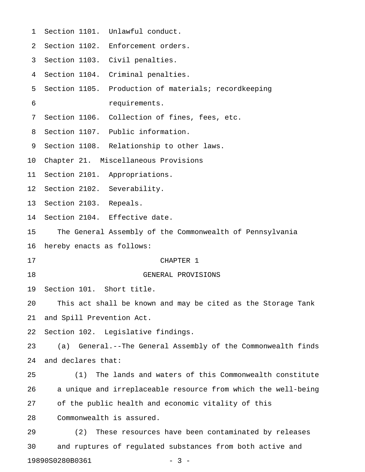| 1  |                                                              | Section 1101. Unlawful conduct.                               |  |  |  |
|----|--------------------------------------------------------------|---------------------------------------------------------------|--|--|--|
| 2  |                                                              | Section 1102. Enforcement orders.                             |  |  |  |
| 3  |                                                              | Section 1103. Civil penalties.                                |  |  |  |
| 4  |                                                              | Section 1104. Criminal penalties.                             |  |  |  |
| 5  |                                                              | Section 1105. Production of materials; recordkeeping          |  |  |  |
| 6  |                                                              | requirements.                                                 |  |  |  |
| 7  |                                                              | Section 1106. Collection of fines, fees, etc.                 |  |  |  |
| 8  |                                                              | Section 1107. Public information.                             |  |  |  |
| 9  |                                                              | Section 1108. Relationship to other laws.                     |  |  |  |
| 10 |                                                              | Chapter 21. Miscellaneous Provisions                          |  |  |  |
| 11 |                                                              | Section 2101. Appropriations.                                 |  |  |  |
| 12 | Section 2102. Severability.                                  |                                                               |  |  |  |
| 13 | Section 2103. Repeals.                                       |                                                               |  |  |  |
| 14 |                                                              | Section 2104. Effective date.                                 |  |  |  |
| 15 |                                                              | The General Assembly of the Commonwealth of Pennsylvania      |  |  |  |
| 16 | hereby enacts as follows:                                    |                                                               |  |  |  |
| 17 |                                                              | CHAPTER 1                                                     |  |  |  |
| 18 |                                                              | GENERAL PROVISIONS                                            |  |  |  |
| 19 | Section 101. Short title.                                    |                                                               |  |  |  |
| 20 | This act shall be known and may be cited as the Storage Tank |                                                               |  |  |  |
| 21 | and Spill Prevention Act.                                    |                                                               |  |  |  |
| 22 | Section 102. Legislative findings.                           |                                                               |  |  |  |
| 23 | (a)                                                          | General.--The General Assembly of the Commonwealth finds      |  |  |  |
| 24 | and declares that:                                           |                                                               |  |  |  |
| 25 | (1)                                                          | The lands and waters of this Commonwealth constitute          |  |  |  |
| 26 |                                                              | a unique and irreplaceable resource from which the well-being |  |  |  |
| 27 |                                                              | of the public health and economic vitality of this            |  |  |  |
| 28 |                                                              | Commonwealth is assured.                                      |  |  |  |
| 29 | (2)                                                          | These resources have been contaminated by releases            |  |  |  |
| 30 |                                                              | and ruptures of regulated substances from both active and     |  |  |  |
|    |                                                              |                                                               |  |  |  |

19890S0280B0361 - 3 -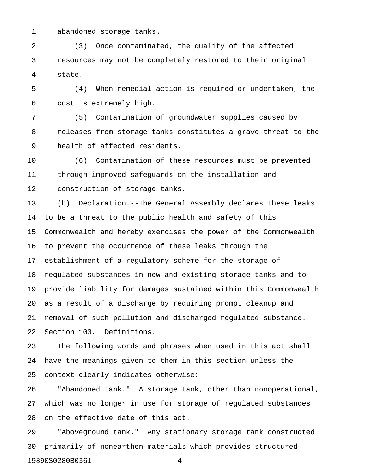1 abandoned storage tanks.

2 (3) Once contaminated, the quality of the affected 3 resources may not be completely restored to their original 4 state.

5 (4) When remedial action is required or undertaken, the 6 cost is extremely high.

7 (5) Contamination of groundwater supplies caused by 8 releases from storage tanks constitutes a grave threat to the 9 health of affected residents.

10 (6) Contamination of these resources must be prevented 11 through improved safeguards on the installation and 12 construction of storage tanks.

13 (b) Declaration.--The General Assembly declares these leaks 14 to be a threat to the public health and safety of this 15 Commonwealth and hereby exercises the power of the Commonwealth 16 to prevent the occurrence of these leaks through the 17 establishment of a regulatory scheme for the storage of 18 regulated substances in new and existing storage tanks and to 19 provide liability for damages sustained within this Commonwealth 20 as a result of a discharge by requiring prompt cleanup and 21 removal of such pollution and discharged regulated substance. 22 Section 103. Definitions.

23 The following words and phrases when used in this act shall 24 have the meanings given to them in this section unless the 25 context clearly indicates otherwise:

26 "Abandoned tank." A storage tank, other than nonoperational, 27 which was no longer in use for storage of regulated substances 28 on the effective date of this act.

29 "Aboveground tank." Any stationary storage tank constructed 30 primarily of nonearthen materials which provides structured 19890S0280B0361 - 4 -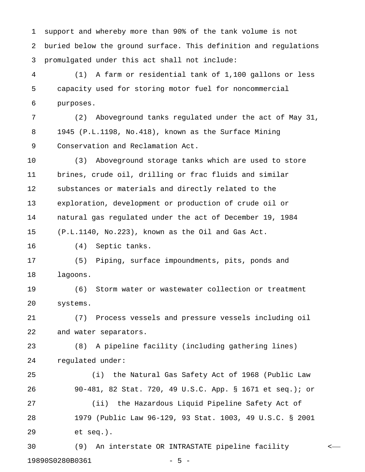1 support and whereby more than 90% of the tank volume is not 2 buried below the ground surface. This definition and regulations 3 promulgated under this act shall not include:

4 (1) A farm or residential tank of 1,100 gallons or less 5 capacity used for storing motor fuel for noncommercial 6 purposes.

7 (2) Aboveground tanks regulated under the act of May 31, 8 1945 (P.L.1198, No.418), known as the Surface Mining 9 Conservation and Reclamation Act.

10 (3) Aboveground storage tanks which are used to store 11 brines, crude oil, drilling or frac fluids and similar 12 substances or materials and directly related to the 13 exploration, development or production of crude oil or 14 natural gas regulated under the act of December 19, 1984 15 (P.L.1140, No.223), known as the Oil and Gas Act.

16 (4) Septic tanks.

17 (5) Piping, surface impoundments, pits, ponds and 18 lagoons.

19 (6) Storm water or wastewater collection or treatment 20 systems.

21 (7) Process vessels and pressure vessels including oil 22 and water separators.

23 (8) A pipeline facility (including gathering lines) 24 regulated under:

25 (i) the Natural Gas Safety Act of 1968 (Public Law 26 90-481, 82 Stat. 720, 49 U.S.C. App. § 1671 et seq.); or 27 (ii) the Hazardous Liquid Pipeline Safety Act of 28 1979 (Public Law 96-129, 93 Stat. 1003, 49 U.S.C. § 2001 29 et seq.).

30 (9) An interstate OR INTRASTATE pipeline facility < 19890S0280B0361 - 5 -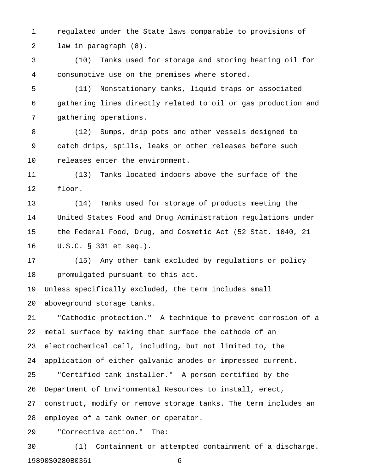1 regulated under the State laws comparable to provisions of 2 law in paragraph (8).

3 (10) Tanks used for storage and storing heating oil for 4 consumptive use on the premises where stored.

5 (11) Nonstationary tanks, liquid traps or associated 6 gathering lines directly related to oil or gas production and 7 gathering operations.

8 (12) Sumps, drip pots and other vessels designed to 9 catch drips, spills, leaks or other releases before such 10 releases enter the environment.

11 (13) Tanks located indoors above the surface of the 12 floor.

13 (14) Tanks used for storage of products meeting the 14 United States Food and Drug Administration regulations under 15 the Federal Food, Drug, and Cosmetic Act (52 Stat. 1040, 21 16 U.S.C. § 301 et seq.).

17 (15) Any other tank excluded by regulations or policy 18 promulgated pursuant to this act.

19 Unless specifically excluded, the term includes small 20 aboveground storage tanks.

21 "Cathodic protection." A technique to prevent corrosion of a 22 metal surface by making that surface the cathode of an 23 electrochemical cell, including, but not limited to, the 24 application of either galvanic anodes or impressed current. 25 "Certified tank installer." A person certified by the 26 Department of Environmental Resources to install, erect, 27 construct, modify or remove storage tanks. The term includes an 28 employee of a tank owner or operator.

29 "Corrective action." The:

30 (1) Containment or attempted containment of a discharge. 19890S0280B0361 - 6 -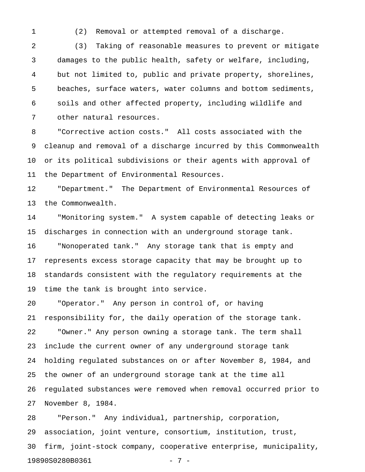1 (2) Removal or attempted removal of a discharge.

2 (3) Taking of reasonable measures to prevent or mitigate 3 damages to the public health, safety or welfare, including, 4 but not limited to, public and private property, shorelines, 5 beaches, surface waters, water columns and bottom sediments, 6 soils and other affected property, including wildlife and 7 other natural resources.

8 "Corrective action costs." All costs associated with the 9 cleanup and removal of a discharge incurred by this Commonwealth 10 or its political subdivisions or their agents with approval of 11 the Department of Environmental Resources.

12 "Department." The Department of Environmental Resources of 13 the Commonwealth.

14 "Monitoring system." A system capable of detecting leaks or 15 discharges in connection with an underground storage tank. 16 "Nonoperated tank." Any storage tank that is empty and 17 represents excess storage capacity that may be brought up to 18 standards consistent with the regulatory requirements at the 19 time the tank is brought into service.

20 "Operator." Any person in control of, or having 21 responsibility for, the daily operation of the storage tank. 22 "Owner." Any person owning a storage tank. The term shall 23 include the current owner of any underground storage tank 24 holding regulated substances on or after November 8, 1984, and 25 the owner of an underground storage tank at the time all 26 regulated substances were removed when removal occurred prior to 27 November 8, 1984.

28 "Person." Any individual, partnership, corporation, 29 association, joint venture, consortium, institution, trust, 30 firm, joint-stock company, cooperative enterprise, municipality, 19890S0280B0361 - 7 -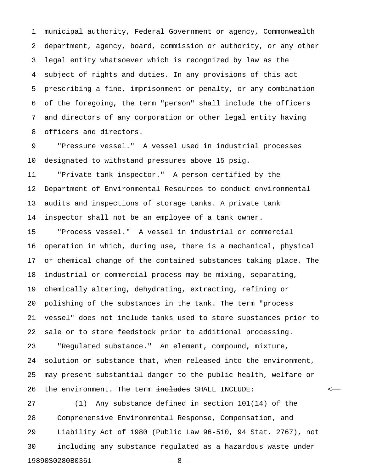1 municipal authority, Federal Government or agency, Commonwealth 2 department, agency, board, commission or authority, or any other 3 legal entity whatsoever which is recognized by law as the 4 subject of rights and duties. In any provisions of this act 5 prescribing a fine, imprisonment or penalty, or any combination 6 of the foregoing, the term "person" shall include the officers 7 and directors of any corporation or other legal entity having 8 officers and directors.

9 "Pressure vessel." A vessel used in industrial processes 10 designated to withstand pressures above 15 psig.

11 "Private tank inspector." A person certified by the 12 Department of Environmental Resources to conduct environmental 13 audits and inspections of storage tanks. A private tank 14 inspector shall not be an employee of a tank owner.

15 "Process vessel." A vessel in industrial or commercial 16 operation in which, during use, there is a mechanical, physical 17 or chemical change of the contained substances taking place. The 18 industrial or commercial process may be mixing, separating, 19 chemically altering, dehydrating, extracting, refining or 20 polishing of the substances in the tank. The term "process 21 vessel" does not include tanks used to store substances prior to 22 sale or to store feedstock prior to additional processing. 23 "Regulated substance." An element, compound, mixture, 24 solution or substance that, when released into the environment, 25 may present substantial danger to the public health, welfare or 26 the environment. The term <del>includes</del> SHALL INCLUDE:  $\sim$ 

27 (1) Any substance defined in section 101(14) of the 28 Comprehensive Environmental Response, Compensation, and 29 Liability Act of 1980 (Public Law 96-510, 94 Stat. 2767), not 30 including any substance regulated as a hazardous waste under 19890S0280B0361 - 8 -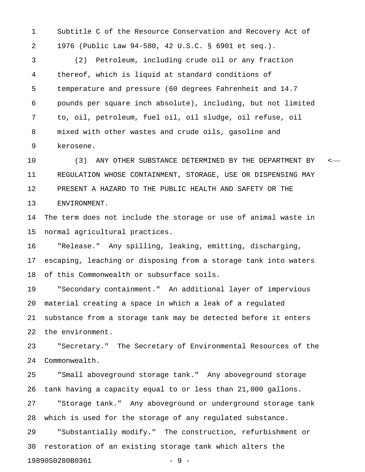1 Subtitle C of the Resource Conservation and Recovery Act of 2 1976 (Public Law 94-580, 42 U.S.C. § 6901 et seq.).

3 (2) Petroleum, including crude oil or any fraction 4 thereof, which is liquid at standard conditions of 5 temperature and pressure (60 degrees Fahrenheit and 14.7 6 pounds per square inch absolute), including, but not limited 7 to, oil, petroleum, fuel oil, oil sludge, oil refuse, oil 8 mixed with other wastes and crude oils, gasoline and 9 kerosene.

10 (3) ANY OTHER SUBSTANCE DETERMINED BY THE DEPARTMENT BY < 11 REGULATION WHOSE CONTAINMENT, STORAGE, USE OR DISPENSING MAY 12 PRESENT A HAZARD TO THE PUBLIC HEALTH AND SAFETY OR THE 13 ENVIRONMENT.

14 The term does not include the storage or use of animal waste in 15 normal agricultural practices.

16 "Release." Any spilling, leaking, emitting, discharging, 17 escaping, leaching or disposing from a storage tank into waters 18 of this Commonwealth or subsurface soils.

19 "Secondary containment." An additional layer of impervious 20 material creating a space in which a leak of a regulated 21 substance from a storage tank may be detected before it enters 22 the environment.

23 "Secretary." The Secretary of Environmental Resources of the 24 Commonwealth.

25 "Small aboveground storage tank." Any aboveground storage 26 tank having a capacity equal to or less than 21,000 gallons. 27 "Storage tank." Any aboveground or underground storage tank 28 which is used for the storage of any regulated substance. 29 "Substantially modify." The construction, refurbishment or 30 restoration of an existing storage tank which alters the

19890S0280B0361 - 9 -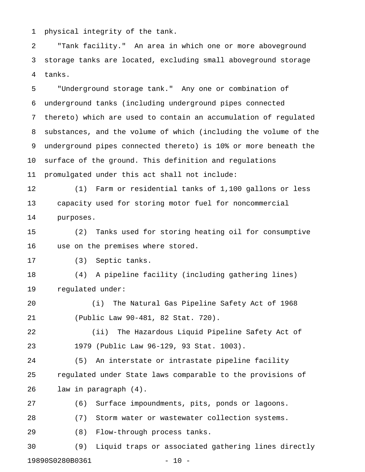1 physical integrity of the tank.

2 "Tank facility." An area in which one or more aboveground 3 storage tanks are located, excluding small aboveground storage 4 tanks.

5 "Underground storage tank." Any one or combination of 6 underground tanks (including underground pipes connected 7 thereto) which are used to contain an accumulation of regulated 8 substances, and the volume of which (including the volume of the 9 underground pipes connected thereto) is 10% or more beneath the 10 surface of the ground. This definition and regulations 11 promulgated under this act shall not include:

12 (1) Farm or residential tanks of 1,100 gallons or less 13 capacity used for storing motor fuel for noncommercial 14 purposes.

15 (2) Tanks used for storing heating oil for consumptive 16 use on the premises where stored.

17 (3) Septic tanks.

18 (4) A pipeline facility (including gathering lines) 19 regulated under:

20 (i) The Natural Gas Pipeline Safety Act of 1968 21 (Public Law 90-481, 82 Stat. 720).

22 (ii) The Hazardous Liquid Pipeline Safety Act of 23 1979 (Public Law 96-129, 93 Stat. 1003).

24 (5) An interstate or intrastate pipeline facility 25 regulated under State laws comparable to the provisions of 26 law in paragraph (4).

27 (6) Surface impoundments, pits, ponds or lagoons.

28 (7) Storm water or wastewater collection systems.

29 (8) Flow-through process tanks.

30 (9) Liquid traps or associated gathering lines directly 19890S0280B0361 - 10 -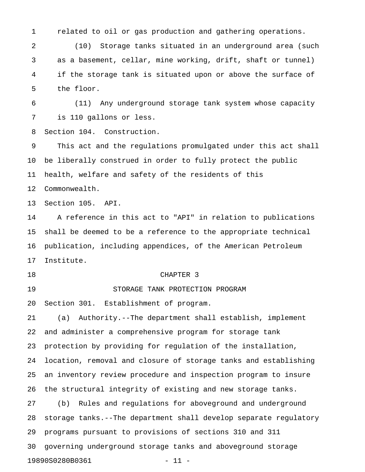1 related to oil or gas production and gathering operations.

2 (10) Storage tanks situated in an underground area (such 3 as a basement, cellar, mine working, drift, shaft or tunnel) 4 if the storage tank is situated upon or above the surface of 5 the floor.

6 (11) Any underground storage tank system whose capacity 7 is 110 gallons or less.

8 Section 104. Construction.

9 This act and the regulations promulgated under this act shall 10 be liberally construed in order to fully protect the public 11 health, welfare and safety of the residents of this 12 Commonwealth.

13 Section 105. API.

14 A reference in this act to "API" in relation to publications 15 shall be deemed to be a reference to the appropriate technical 16 publication, including appendices, of the American Petroleum 17 Institute.

#### 18 CHAPTER 3

19 STORAGE TANK PROTECTION PROGRAM

20 Section 301. Establishment of program.

21 (a) Authority.--The department shall establish, implement 22 and administer a comprehensive program for storage tank 23 protection by providing for regulation of the installation, 24 location, removal and closure of storage tanks and establishing 25 an inventory review procedure and inspection program to insure 26 the structural integrity of existing and new storage tanks. 27 (b) Rules and regulations for aboveground and underground 28 storage tanks.--The department shall develop separate regulatory 29 programs pursuant to provisions of sections 310 and 311 30 governing underground storage tanks and aboveground storage 19890S0280B0361 - 11 -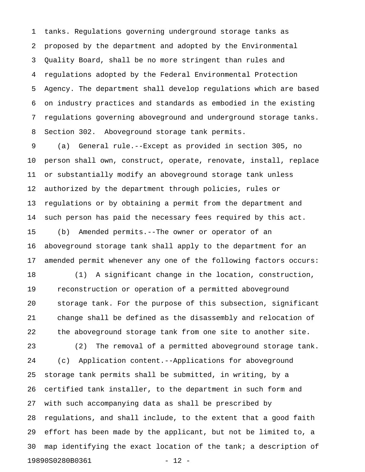1 tanks. Regulations governing underground storage tanks as 2 proposed by the department and adopted by the Environmental 3 Quality Board, shall be no more stringent than rules and 4 regulations adopted by the Federal Environmental Protection 5 Agency. The department shall develop regulations which are based 6 on industry practices and standards as embodied in the existing 7 regulations governing aboveground and underground storage tanks. 8 Section 302. Aboveground storage tank permits.

9 (a) General rule.--Except as provided in section 305, no 10 person shall own, construct, operate, renovate, install, replace 11 or substantially modify an aboveground storage tank unless 12 authorized by the department through policies, rules or 13 regulations or by obtaining a permit from the department and 14 such person has paid the necessary fees required by this act. 15 (b) Amended permits.--The owner or operator of an 16 aboveground storage tank shall apply to the department for an 17 amended permit whenever any one of the following factors occurs:

18 (1) A significant change in the location, construction, 19 reconstruction or operation of a permitted aboveground 20 storage tank. For the purpose of this subsection, significant 21 change shall be defined as the disassembly and relocation of 22 the aboveground storage tank from one site to another site.

23 (2) The removal of a permitted aboveground storage tank. 24 (c) Application content.--Applications for aboveground 25 storage tank permits shall be submitted, in writing, by a 26 certified tank installer, to the department in such form and 27 with such accompanying data as shall be prescribed by 28 regulations, and shall include, to the extent that a good faith 29 effort has been made by the applicant, but not be limited to, a 30 map identifying the exact location of the tank; a description of 19890S0280B0361 - 12 -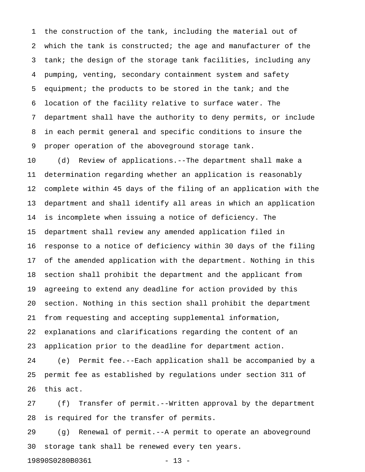1 the construction of the tank, including the material out of 2 which the tank is constructed; the age and manufacturer of the 3 tank; the design of the storage tank facilities, including any 4 pumping, venting, secondary containment system and safety 5 equipment; the products to be stored in the tank; and the 6 location of the facility relative to surface water. The 7 department shall have the authority to deny permits, or include 8 in each permit general and specific conditions to insure the 9 proper operation of the aboveground storage tank.

10 (d) Review of applications.--The department shall make a 11 determination regarding whether an application is reasonably 12 complete within 45 days of the filing of an application with the 13 department and shall identify all areas in which an application 14 is incomplete when issuing a notice of deficiency. The 15 department shall review any amended application filed in 16 response to a notice of deficiency within 30 days of the filing 17 of the amended application with the department. Nothing in this 18 section shall prohibit the department and the applicant from 19 agreeing to extend any deadline for action provided by this 20 section. Nothing in this section shall prohibit the department 21 from requesting and accepting supplemental information, 22 explanations and clarifications regarding the content of an 23 application prior to the deadline for department action.

24 (e) Permit fee.--Each application shall be accompanied by a 25 permit fee as established by regulations under section 311 of 26 this act.

27 (f) Transfer of permit.--Written approval by the department 28 is required for the transfer of permits.

29 (g) Renewal of permit.--A permit to operate an aboveground 30 storage tank shall be renewed every ten years.

19890S0280B0361 - 13 -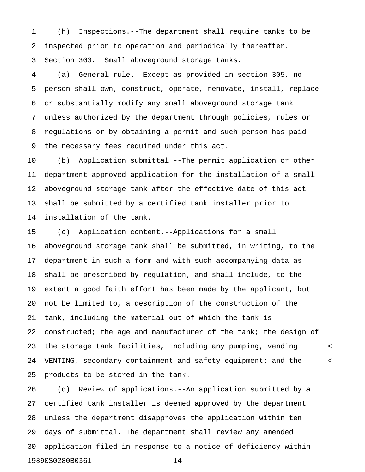1 (h) Inspections.--The department shall require tanks to be 2 inspected prior to operation and periodically thereafter. 3 Section 303. Small aboveground storage tanks.

4 (a) General rule.--Except as provided in section 305, no 5 person shall own, construct, operate, renovate, install, replace 6 or substantially modify any small aboveground storage tank 7 unless authorized by the department through policies, rules or 8 regulations or by obtaining a permit and such person has paid 9 the necessary fees required under this act.

10 (b) Application submittal.--The permit application or other 11 department-approved application for the installation of a small 12 aboveground storage tank after the effective date of this act 13 shall be submitted by a certified tank installer prior to 14 installation of the tank.

15 (c) Application content.--Applications for a small 16 aboveground storage tank shall be submitted, in writing, to the 17 department in such a form and with such accompanying data as 18 shall be prescribed by regulation, and shall include, to the 19 extent a good faith effort has been made by the applicant, but 20 not be limited to, a description of the construction of the 21 tank, including the material out of which the tank is 22 constructed; the age and manufacturer of the tank; the design of 23 the storage tank facilities, including any pumping, vending  $\sim$ 24 VENTING, secondary containment and safety equipment; and the < 25 products to be stored in the tank.

26 (d) Review of applications.--An application submitted by a 27 certified tank installer is deemed approved by the department 28 unless the department disapproves the application within ten 29 days of submittal. The department shall review any amended 30 application filed in response to a notice of deficiency within 19890S0280B0361 - 14 -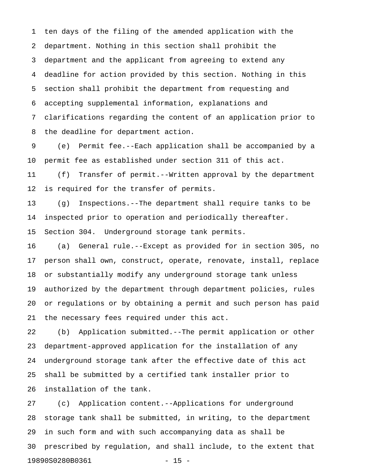1 ten days of the filing of the amended application with the 2 department. Nothing in this section shall prohibit the 3 department and the applicant from agreeing to extend any 4 deadline for action provided by this section. Nothing in this 5 section shall prohibit the department from requesting and 6 accepting supplemental information, explanations and 7 clarifications regarding the content of an application prior to 8 the deadline for department action.

9 (e) Permit fee.--Each application shall be accompanied by a 10 permit fee as established under section 311 of this act.

11 (f) Transfer of permit.--Written approval by the department 12 is required for the transfer of permits.

13 (g) Inspections.--The department shall require tanks to be 14 inspected prior to operation and periodically thereafter.

15 Section 304. Underground storage tank permits.

16 (a) General rule.--Except as provided for in section 305, no 17 person shall own, construct, operate, renovate, install, replace 18 or substantially modify any underground storage tank unless 19 authorized by the department through department policies, rules 20 or regulations or by obtaining a permit and such person has paid 21 the necessary fees required under this act.

22 (b) Application submitted.--The permit application or other 23 department-approved application for the installation of any 24 underground storage tank after the effective date of this act 25 shall be submitted by a certified tank installer prior to 26 installation of the tank.

27 (c) Application content.--Applications for underground 28 storage tank shall be submitted, in writing, to the department 29 in such form and with such accompanying data as shall be 30 prescribed by regulation, and shall include, to the extent that 19890S0280B0361 - 15 -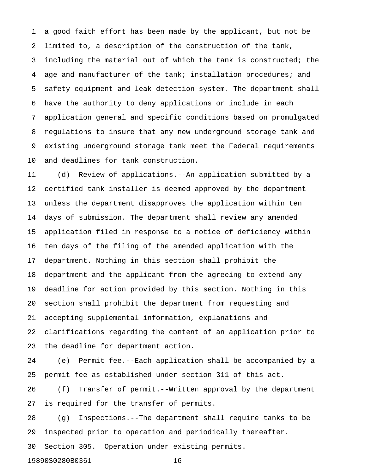1 a good faith effort has been made by the applicant, but not be 2 limited to, a description of the construction of the tank, 3 including the material out of which the tank is constructed; the 4 age and manufacturer of the tank; installation procedures; and 5 safety equipment and leak detection system. The department shall 6 have the authority to deny applications or include in each 7 application general and specific conditions based on promulgated 8 regulations to insure that any new underground storage tank and 9 existing underground storage tank meet the Federal requirements 10 and deadlines for tank construction.

11 (d) Review of applications.--An application submitted by a 12 certified tank installer is deemed approved by the department 13 unless the department disapproves the application within ten 14 days of submission. The department shall review any amended 15 application filed in response to a notice of deficiency within 16 ten days of the filing of the amended application with the 17 department. Nothing in this section shall prohibit the 18 department and the applicant from the agreeing to extend any 19 deadline for action provided by this section. Nothing in this 20 section shall prohibit the department from requesting and 21 accepting supplemental information, explanations and 22 clarifications regarding the content of an application prior to 23 the deadline for department action.

24 (e) Permit fee.--Each application shall be accompanied by a 25 permit fee as established under section 311 of this act.

26 (f) Transfer of permit.--Written approval by the department 27 is required for the transfer of permits.

28 (g) Inspections.--The department shall require tanks to be 29 inspected prior to operation and periodically thereafter.

30 Section 305. Operation under existing permits.

19890S0280B0361 - 16 -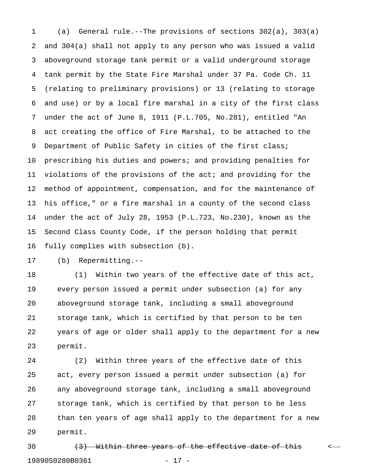1 (a) General rule.--The provisions of sections 302(a), 303(a) 2 and 304(a) shall not apply to any person who was issued a valid 3 aboveground storage tank permit or a valid underground storage 4 tank permit by the State Fire Marshal under 37 Pa. Code Ch. 11 5 (relating to preliminary provisions) or 13 (relating to storage 6 and use) or by a local fire marshal in a city of the first class 7 under the act of June 8, 1911 (P.L.705, No.281), entitled "An 8 act creating the office of Fire Marshal, to be attached to the 9 Department of Public Safety in cities of the first class; 10 prescribing his duties and powers; and providing penalties for 11 violations of the provisions of the act; and providing for the 12 method of appointment, compensation, and for the maintenance of 13 his office," or a fire marshal in a county of the second class 14 under the act of July 28, 1953 (P.L.723, No.230), known as the 15 Second Class County Code, if the person holding that permit 16 fully complies with subsection (b).

17 (b) Repermitting.--

18 (1) Within two years of the effective date of this act, 19 every person issued a permit under subsection (a) for any 20 aboveground storage tank, including a small aboveground 21 storage tank, which is certified by that person to be ten 22 years of age or older shall apply to the department for a new 23 permit.

24 (2) Within three years of the effective date of this 25 act, every person issued a permit under subsection (a) for 26 any aboveground storage tank, including a small aboveground 27 storage tank, which is certified by that person to be less 28 than ten years of age shall apply to the department for a new 29 permit.

 $30$  (3) Within three years of the effective date of this  $\sim$ 19890S0280B0361 - 17 -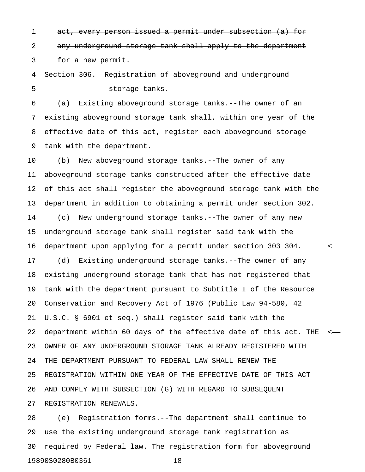1 act, every person issued a permit under subsection (a) for 2 any underground storage tank shall apply to the department 3 for a new permit.

4 Section 306. Registration of aboveground and underground 5 storage tanks.

6 (a) Existing aboveground storage tanks.--The owner of an 7 existing aboveground storage tank shall, within one year of the 8 effective date of this act, register each aboveground storage 9 tank with the department.

10 (b) New aboveground storage tanks.--The owner of any 11 aboveground storage tanks constructed after the effective date 12 of this act shall register the aboveground storage tank with the 13 department in addition to obtaining a permit under section 302. 14 (c) New underground storage tanks.--The owner of any new 15 underground storage tank shall register said tank with the 16 department upon applying for a permit under section 303 304. 17 (d) Existing underground storage tanks.--The owner of any 18 existing underground storage tank that has not registered that 19 tank with the department pursuant to Subtitle I of the Resource 20 Conservation and Recovery Act of 1976 (Public Law 94-580, 42 21 U.S.C. § 6901 et seq.) shall register said tank with the 22 department within 60 days of the effective date of this act. THE < 23 OWNER OF ANY UNDERGROUND STORAGE TANK ALREADY REGISTERED WITH 24 THE DEPARTMENT PURSUANT TO FEDERAL LAW SHALL RENEW THE 25 REGISTRATION WITHIN ONE YEAR OF THE EFFECTIVE DATE OF THIS ACT 26 AND COMPLY WITH SUBSECTION (G) WITH REGARD TO SUBSEQUENT 27 REGISTRATION RENEWALS.

28 (e) Registration forms.--The department shall continue to 29 use the existing underground storage tank registration as 30 required by Federal law. The registration form for aboveground 19890S0280B0361 - 18 -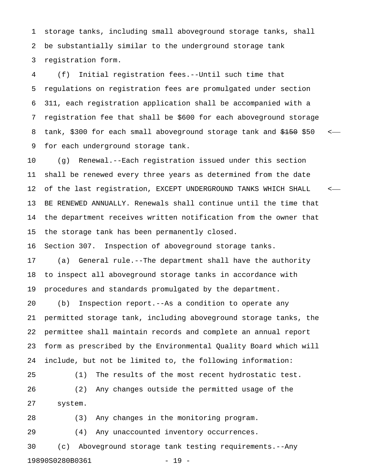1 storage tanks, including small aboveground storage tanks, shall 2 be substantially similar to the underground storage tank 3 registration form.

4 (f) Initial registration fees.--Until such time that 5 regulations on registration fees are promulgated under section 6 311, each registration application shall be accompanied with a 7 registration fee that shall be \$600 for each aboveground storage 8 tank, \$300 for each small aboveground storage tank and  $$150$   $\leq$ 9 for each underground storage tank.

10 (g) Renewal.--Each registration issued under this section 11 shall be renewed every three years as determined from the date 12 of the last registration, EXCEPT UNDERGROUND TANKS WHICH SHALL < 13 BE RENEWED ANNUALLY. Renewals shall continue until the time that 14 the department receives written notification from the owner that 15 the storage tank has been permanently closed.

16 Section 307. Inspection of aboveground storage tanks.

17 (a) General rule.--The department shall have the authority 18 to inspect all aboveground storage tanks in accordance with 19 procedures and standards promulgated by the department.

20 (b) Inspection report.--As a condition to operate any 21 permitted storage tank, including aboveground storage tanks, the 22 permittee shall maintain records and complete an annual report 23 form as prescribed by the Environmental Quality Board which will 24 include, but not be limited to, the following information:

25 (1) The results of the most recent hydrostatic test. 26 (2) Any changes outside the permitted usage of the 27 system.

28 (3) Any changes in the monitoring program.

29 (4) Any unaccounted inventory occurrences.

30 (c) Aboveground storage tank testing requirements.--Any 19890S0280B0361 - 19 -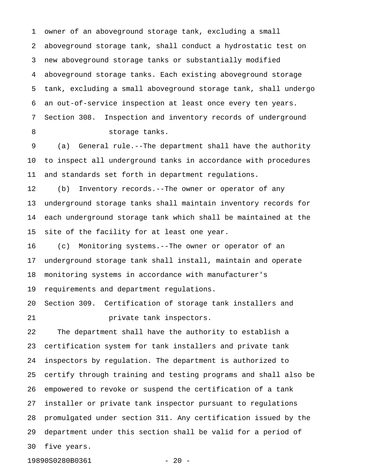1 owner of an aboveground storage tank, excluding a small 2 aboveground storage tank, shall conduct a hydrostatic test on 3 new aboveground storage tanks or substantially modified 4 aboveground storage tanks. Each existing aboveground storage 5 tank, excluding a small aboveground storage tank, shall undergo 6 an out-of-service inspection at least once every ten years. 7 Section 308. Inspection and inventory records of underground 8 storage tanks.

9 (a) General rule.--The department shall have the authority 10 to inspect all underground tanks in accordance with procedures 11 and standards set forth in department regulations.

12 (b) Inventory records.--The owner or operator of any 13 underground storage tanks shall maintain inventory records for 14 each underground storage tank which shall be maintained at the 15 site of the facility for at least one year.

16 (c) Monitoring systems.--The owner or operator of an 17 underground storage tank shall install, maintain and operate 18 monitoring systems in accordance with manufacturer's 19 requirements and department regulations.

20 Section 309. Certification of storage tank installers and 21 private tank inspectors.

22 The department shall have the authority to establish a 23 certification system for tank installers and private tank 24 inspectors by regulation. The department is authorized to 25 certify through training and testing programs and shall also be 26 empowered to revoke or suspend the certification of a tank 27 installer or private tank inspector pursuant to regulations 28 promulgated under section 311. Any certification issued by the 29 department under this section shall be valid for a period of 30 five years.

19890S0280B0361 - 20 -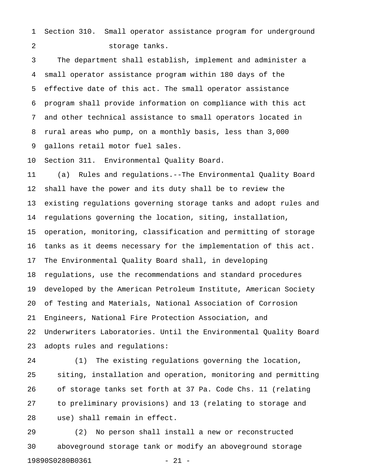1 Section 310. Small operator assistance program for underground 2 storage tanks.

3 The department shall establish, implement and administer a 4 small operator assistance program within 180 days of the 5 effective date of this act. The small operator assistance 6 program shall provide information on compliance with this act 7 and other technical assistance to small operators located in 8 rural areas who pump, on a monthly basis, less than 3,000 9 gallons retail motor fuel sales.

10 Section 311. Environmental Quality Board.

11 (a) Rules and regulations.--The Environmental Quality Board 12 shall have the power and its duty shall be to review the 13 existing regulations governing storage tanks and adopt rules and 14 regulations governing the location, siting, installation, 15 operation, monitoring, classification and permitting of storage 16 tanks as it deems necessary for the implementation of this act. 17 The Environmental Quality Board shall, in developing 18 regulations, use the recommendations and standard procedures 19 developed by the American Petroleum Institute, American Society 20 of Testing and Materials, National Association of Corrosion 21 Engineers, National Fire Protection Association, and 22 Underwriters Laboratories. Until the Environmental Quality Board 23 adopts rules and regulations:

24 (1) The existing regulations governing the location, 25 siting, installation and operation, monitoring and permitting 26 of storage tanks set forth at 37 Pa. Code Chs. 11 (relating 27 to preliminary provisions) and 13 (relating to storage and 28 use) shall remain in effect.

29 (2) No person shall install a new or reconstructed 30 aboveground storage tank or modify an aboveground storage 19890S0280B0361 - 21 -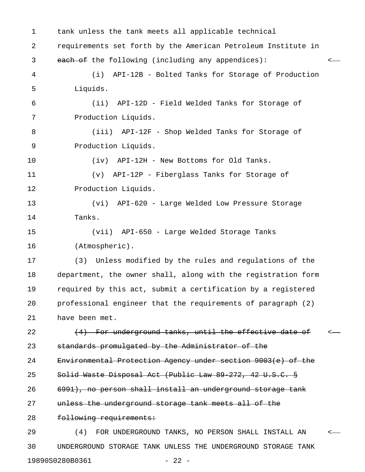1 tank unless the tank meets all applicable technical 2 requirements set forth by the American Petroleum Institute in 3 each of the following (including any appendices):  $\leftarrow$ 4 (i) API-12B - Bolted Tanks for Storage of Production 5 Liquids. 6 (ii) API-12D - Field Welded Tanks for Storage of 7 Production Liquids. 8 (iii) API-12F - Shop Welded Tanks for Storage of 9 Production Liquids. 10 (iv) API-12H - New Bottoms for Old Tanks. 11 (v) API-12P - Fiberglass Tanks for Storage of 12 Production Liquids. 13 (vi) API-620 - Large Welded Low Pressure Storage 14 Tanks. 15 (vii) API-650 - Large Welded Storage Tanks 16 (Atmospheric). 17 (3) Unless modified by the rules and regulations of the 18 department, the owner shall, along with the registration form 19 required by this act, submit a certification by a registered 20 professional engineer that the requirements of paragraph (2) 21 have been met. 22 (4) For underground tanks, until the effective date of 23 standards promulgated by the Administrator of the 24 Environmental Protection Agency under section 9003(e) of the 25 Solid Waste Disposal Act (Public Law 89-272, 42 U.S.C. § 26 6991), no person shall install an underground storage tank 27 unless the underground storage tank meets all of the 28 following requirements: 29 (4) FOR UNDERGROUND TANKS, NO PERSON SHALL INSTALL AN < 30 UNDERGROUND STORAGE TANK UNLESS THE UNDERGROUND STORAGE TANK

19890S0280B0361 - 22 -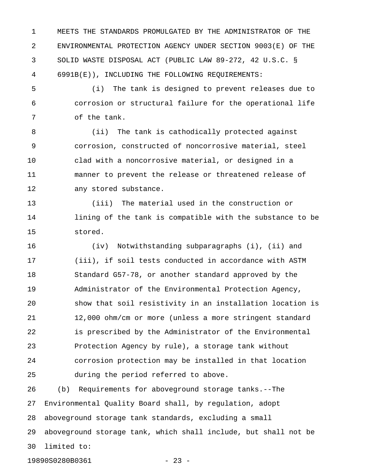1 MEETS THE STANDARDS PROMULGATED BY THE ADMINISTRATOR OF THE 2 ENVIRONMENTAL PROTECTION AGENCY UNDER SECTION 9003(E) OF THE 3 SOLID WASTE DISPOSAL ACT (PUBLIC LAW 89-272, 42 U.S.C. § 4 6991B(E)), INCLUDING THE FOLLOWING REQUIREMENTS:

5 (i) The tank is designed to prevent releases due to 6 corrosion or structural failure for the operational life 7 of the tank.

8 (ii) The tank is cathodically protected against 9 corrosion, constructed of noncorrosive material, steel 10 clad with a noncorrosive material, or designed in a 11 manner to prevent the release or threatened release of 12 any stored substance.

13 (iii) The material used in the construction or 14 lining of the tank is compatible with the substance to be 15 stored.

16 (iv) Notwithstanding subparagraphs (i), (ii) and 17 (iii), if soil tests conducted in accordance with ASTM 18 Standard G57-78, or another standard approved by the 19 Administrator of the Environmental Protection Agency, 20 show that soil resistivity in an installation location is 21 12,000 ohm/cm or more (unless a more stringent standard 22 is prescribed by the Administrator of the Environmental 23 Protection Agency by rule), a storage tank without 24 corrosion protection may be installed in that location 25 during the period referred to above.

26 (b) Requirements for aboveground storage tanks.--The 27 Environmental Quality Board shall, by regulation, adopt 28 aboveground storage tank standards, excluding a small 29 aboveground storage tank, which shall include, but shall not be 30 limited to:

19890S0280B0361 - 23 -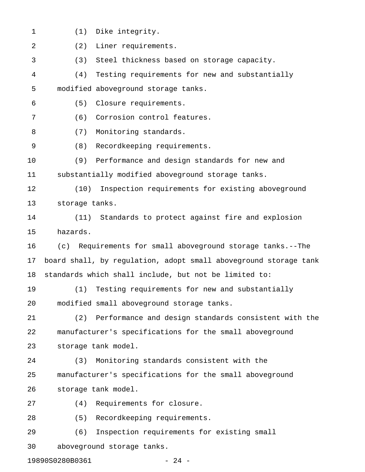- 1 (1) Dike integrity.
- 2 (2) Liner requirements. 3 (3) Steel thickness based on storage capacity. 4 (4) Testing requirements for new and substantially 5 modified aboveground storage tanks. 6 (5) Closure requirements. 7 (6) Corrosion control features. 8 (7) Monitoring standards. 9 (8) Recordkeeping requirements. 10 (9) Performance and design standards for new and 11 substantially modified aboveground storage tanks. 12 (10) Inspection requirements for existing aboveground 13 storage tanks. 14 (11) Standards to protect against fire and explosion 15 hazards. 16 (c) Requirements for small aboveground storage tanks.--The 17 board shall, by regulation, adopt small aboveground storage tank 18 standards which shall include, but not be limited to: 19 (1) Testing requirements for new and substantially 20 modified small aboveground storage tanks. 21 (2) Performance and design standards consistent with the 22 manufacturer's specifications for the small aboveground 23 storage tank model. 24 (3) Monitoring standards consistent with the 25 manufacturer's specifications for the small aboveground 26 storage tank model. 27 (4) Requirements for closure. 28 (5) Recordkeeping requirements. 29 (6) Inspection requirements for existing small 30 aboveground storage tanks.

19890S0280B0361 - 24 -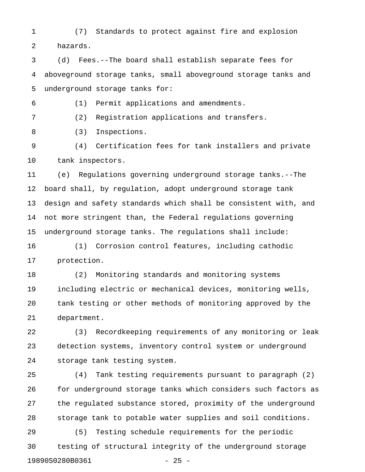1 (7) Standards to protect against fire and explosion 2 hazards.

3 (d) Fees.--The board shall establish separate fees for 4 aboveground storage tanks, small aboveground storage tanks and 5 underground storage tanks for:

6 (1) Permit applications and amendments.

7 (2) Registration applications and transfers.

8 (3) Inspections.

9 (4) Certification fees for tank installers and private 10 tank inspectors.

11 (e) Regulations governing underground storage tanks.--The 12 board shall, by regulation, adopt underground storage tank 13 design and safety standards which shall be consistent with, and 14 not more stringent than, the Federal regulations governing 15 underground storage tanks. The regulations shall include:

16 (1) Corrosion control features, including cathodic 17 protection.

18 (2) Monitoring standards and monitoring systems 19 including electric or mechanical devices, monitoring wells, 20 tank testing or other methods of monitoring approved by the 21 department.

22 (3) Recordkeeping requirements of any monitoring or leak 23 detection systems, inventory control system or underground 24 storage tank testing system.

25 (4) Tank testing requirements pursuant to paragraph (2) 26 for underground storage tanks which considers such factors as 27 the regulated substance stored, proximity of the underground 28 storage tank to potable water supplies and soil conditions.

29 (5) Testing schedule requirements for the periodic 30 testing of structural integrity of the underground storage 19890S0280B0361 - 25 -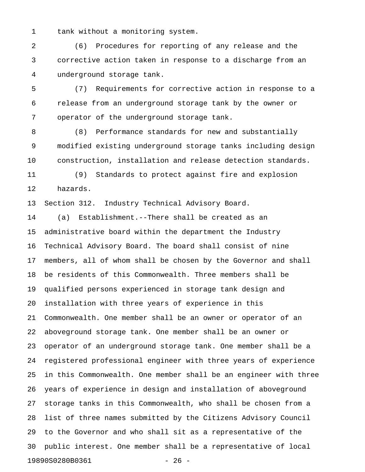1 tank without a monitoring system.

2 (6) Procedures for reporting of any release and the 3 corrective action taken in response to a discharge from an 4 underground storage tank.

5 (7) Requirements for corrective action in response to a 6 release from an underground storage tank by the owner or 7 operator of the underground storage tank.

8 (8) Performance standards for new and substantially 9 modified existing underground storage tanks including design 10 construction, installation and release detection standards.

11 (9) Standards to protect against fire and explosion 12 hazards.

13 Section 312. Industry Technical Advisory Board.

14 (a) Establishment.--There shall be created as an 15 administrative board within the department the Industry 16 Technical Advisory Board. The board shall consist of nine 17 members, all of whom shall be chosen by the Governor and shall 18 be residents of this Commonwealth. Three members shall be 19 qualified persons experienced in storage tank design and 20 installation with three years of experience in this 21 Commonwealth. One member shall be an owner or operator of an 22 aboveground storage tank. One member shall be an owner or 23 operator of an underground storage tank. One member shall be a 24 registered professional engineer with three years of experience 25 in this Commonwealth. One member shall be an engineer with three 26 years of experience in design and installation of aboveground 27 storage tanks in this Commonwealth, who shall be chosen from a 28 list of three names submitted by the Citizens Advisory Council 29 to the Governor and who shall sit as a representative of the 30 public interest. One member shall be a representative of local 19890S0280B0361 - 26 -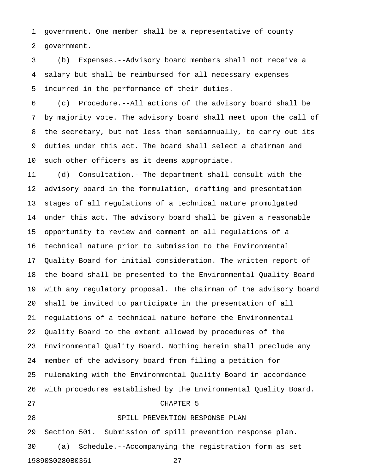1 government. One member shall be a representative of county 2 government.

3 (b) Expenses.--Advisory board members shall not receive a 4 salary but shall be reimbursed for all necessary expenses 5 incurred in the performance of their duties.

6 (c) Procedure.--All actions of the advisory board shall be 7 by majority vote. The advisory board shall meet upon the call of 8 the secretary, but not less than semiannually, to carry out its 9 duties under this act. The board shall select a chairman and 10 such other officers as it deems appropriate.

11 (d) Consultation.--The department shall consult with the 12 advisory board in the formulation, drafting and presentation 13 stages of all regulations of a technical nature promulgated 14 under this act. The advisory board shall be given a reasonable 15 opportunity to review and comment on all regulations of a 16 technical nature prior to submission to the Environmental 17 Quality Board for initial consideration. The written report of 18 the board shall be presented to the Environmental Quality Board 19 with any regulatory proposal. The chairman of the advisory board 20 shall be invited to participate in the presentation of all 21 regulations of a technical nature before the Environmental 22 Quality Board to the extent allowed by procedures of the 23 Environmental Quality Board. Nothing herein shall preclude any 24 member of the advisory board from filing a petition for 25 rulemaking with the Environmental Quality Board in accordance 26 with procedures established by the Environmental Quality Board. 27 CHAPTER 5 28 SPILL PREVENTION RESPONSE PLAN 29 Section 501. Submission of spill prevention response plan.

30 (a) Schedule.--Accompanying the registration form as set 19890S0280B0361 - 27 -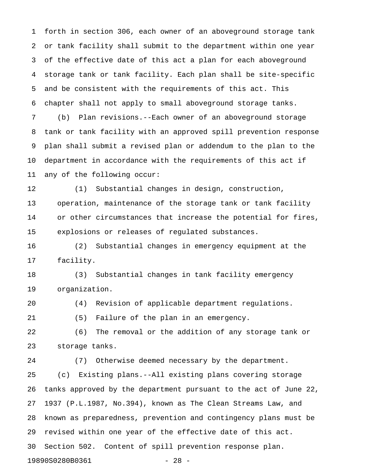1 forth in section 306, each owner of an aboveground storage tank 2 or tank facility shall submit to the department within one year 3 of the effective date of this act a plan for each aboveground 4 storage tank or tank facility. Each plan shall be site-specific 5 and be consistent with the requirements of this act. This 6 chapter shall not apply to small aboveground storage tanks. 7 (b) Plan revisions.--Each owner of an aboveground storage

8 tank or tank facility with an approved spill prevention response 9 plan shall submit a revised plan or addendum to the plan to the 10 department in accordance with the requirements of this act if 11 any of the following occur:

12 (1) Substantial changes in design, construction, 13 operation, maintenance of the storage tank or tank facility 14 or other circumstances that increase the potential for fires, 15 explosions or releases of regulated substances.

16 (2) Substantial changes in emergency equipment at the 17 facility.

18 (3) Substantial changes in tank facility emergency 19 organization.

20 (4) Revision of applicable department regulations.

21 (5) Failure of the plan in an emergency.

22 (6) The removal or the addition of any storage tank or 23 storage tanks.

24 (7) Otherwise deemed necessary by the department. 25 (c) Existing plans.--All existing plans covering storage 26 tanks approved by the department pursuant to the act of June 22, 27 1937 (P.L.1987, No.394), known as The Clean Streams Law, and 28 known as preparedness, prevention and contingency plans must be 29 revised within one year of the effective date of this act. 30 Section 502. Content of spill prevention response plan. 19890S0280B0361 - 28 -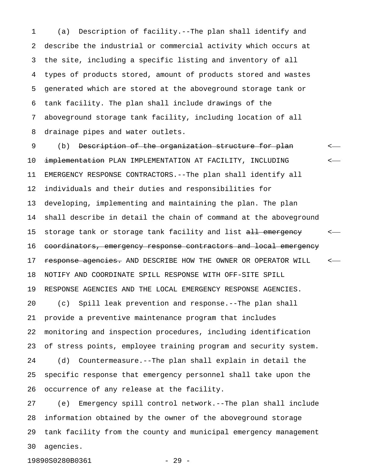1 (a) Description of facility.--The plan shall identify and 2 describe the industrial or commercial activity which occurs at 3 the site, including a specific listing and inventory of all 4 types of products stored, amount of products stored and wastes 5 generated which are stored at the aboveground storage tank or 6 tank facility. The plan shall include drawings of the 7 aboveground storage tank facility, including location of all 8 drainage pipes and water outlets.

9 (b) <del>Description of the organization structure for plan</del> 10 implementation PLAN IMPLEMENTATION AT FACILITY, INCLUDING <-11 EMERGENCY RESPONSE CONTRACTORS.--The plan shall identify all 12 individuals and their duties and responsibilities for 13 developing, implementing and maintaining the plan. The plan 14 shall describe in detail the chain of command at the aboveground 15 storage tank or storage tank facility and list all emergency <-16 coordinators, emergency response contractors and local emergency 17 response agencies. AND DESCRIBE HOW THE OWNER OR OPERATOR WILL  $\sim$ 18 NOTIFY AND COORDINATE SPILL RESPONSE WITH OFF-SITE SPILL 19 RESPONSE AGENCIES AND THE LOCAL EMERGENCY RESPONSE AGENCIES. 20 (c) Spill leak prevention and response.--The plan shall 21 provide a preventive maintenance program that includes 22 monitoring and inspection procedures, including identification 23 of stress points, employee training program and security system. 24 (d) Countermeasure.--The plan shall explain in detail the 25 specific response that emergency personnel shall take upon the 26 occurrence of any release at the facility.

27 (e) Emergency spill control network.--The plan shall include 28 information obtained by the owner of the aboveground storage 29 tank facility from the county and municipal emergency management 30 agencies.

19890S0280B0361 - 29 -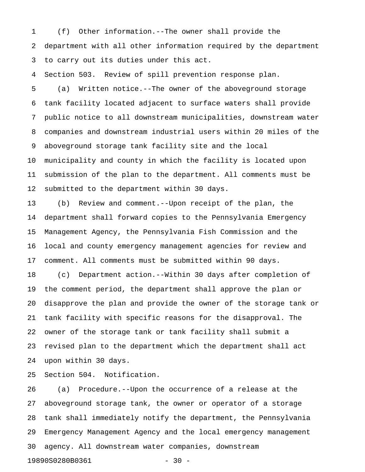1 (f) Other information.--The owner shall provide the 2 department with all other information required by the department 3 to carry out its duties under this act.

4 Section 503. Review of spill prevention response plan.

5 (a) Written notice.--The owner of the aboveground storage 6 tank facility located adjacent to surface waters shall provide 7 public notice to all downstream municipalities, downstream water 8 companies and downstream industrial users within 20 miles of the 9 aboveground storage tank facility site and the local 10 municipality and county in which the facility is located upon

11 submission of the plan to the department. All comments must be 12 submitted to the department within 30 days.

13 (b) Review and comment.--Upon receipt of the plan, the 14 department shall forward copies to the Pennsylvania Emergency 15 Management Agency, the Pennsylvania Fish Commission and the 16 local and county emergency management agencies for review and 17 comment. All comments must be submitted within 90 days.

18 (c) Department action.--Within 30 days after completion of 19 the comment period, the department shall approve the plan or 20 disapprove the plan and provide the owner of the storage tank or 21 tank facility with specific reasons for the disapproval. The 22 owner of the storage tank or tank facility shall submit a 23 revised plan to the department which the department shall act 24 upon within 30 days.

25 Section 504. Notification.

26 (a) Procedure.--Upon the occurrence of a release at the 27 aboveground storage tank, the owner or operator of a storage 28 tank shall immediately notify the department, the Pennsylvania 29 Emergency Management Agency and the local emergency management 30 agency. All downstream water companies, downstream 19890S0280B0361 - 30 -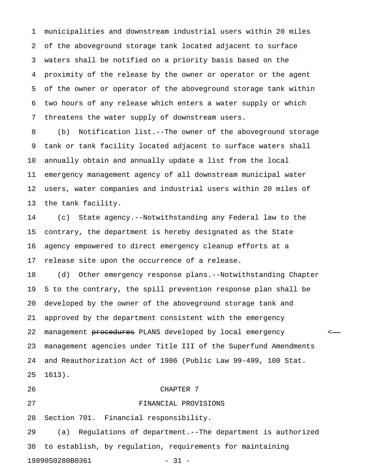1 municipalities and downstream industrial users within 20 miles 2 of the aboveground storage tank located adjacent to surface 3 waters shall be notified on a priority basis based on the 4 proximity of the release by the owner or operator or the agent 5 of the owner or operator of the aboveground storage tank within 6 two hours of any release which enters a water supply or which 7 threatens the water supply of downstream users.

8 (b) Notification list.--The owner of the aboveground storage 9 tank or tank facility located adjacent to surface waters shall 10 annually obtain and annually update a list from the local 11 emergency management agency of all downstream municipal water 12 users, water companies and industrial users within 20 miles of 13 the tank facility.

14 (c) State agency.--Notwithstanding any Federal law to the 15 contrary, the department is hereby designated as the State 16 agency empowered to direct emergency cleanup efforts at a 17 release site upon the occurrence of a release.

18 (d) Other emergency response plans.--Notwithstanding Chapter 19 5 to the contrary, the spill prevention response plan shall be 20 developed by the owner of the aboveground storage tank and 21 approved by the department consistent with the emergency 22 management <del>procedures</del> PLANS developed by local emergency states 23 management agencies under Title III of the Superfund Amendments 24 and Reauthorization Act of 1986 (Public Law 99-499, 100 Stat. 25 1613).

#### 26 CHAPTER 7

28 Section 701. Financial responsibility.

27 FINANCIAL PROVISIONS

29 (a) Regulations of department.--The department is authorized 30 to establish, by regulation, requirements for maintaining 19890S0280B0361 - 31 -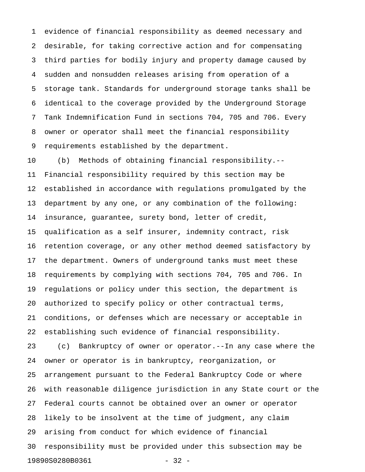1 evidence of financial responsibility as deemed necessary and 2 desirable, for taking corrective action and for compensating 3 third parties for bodily injury and property damage caused by 4 sudden and nonsudden releases arising from operation of a 5 storage tank. Standards for underground storage tanks shall be 6 identical to the coverage provided by the Underground Storage 7 Tank Indemnification Fund in sections 704, 705 and 706. Every 8 owner or operator shall meet the financial responsibility 9 requirements established by the department.

10 (b) Methods of obtaining financial responsibility.-- 11 Financial responsibility required by this section may be 12 established in accordance with regulations promulgated by the 13 department by any one, or any combination of the following: 14 insurance, guarantee, surety bond, letter of credit, 15 qualification as a self insurer, indemnity contract, risk 16 retention coverage, or any other method deemed satisfactory by 17 the department. Owners of underground tanks must meet these 18 requirements by complying with sections 704, 705 and 706. In 19 regulations or policy under this section, the department is 20 authorized to specify policy or other contractual terms, 21 conditions, or defenses which are necessary or acceptable in 22 establishing such evidence of financial responsibility. 23 (c) Bankruptcy of owner or operator.--In any case where the 24 owner or operator is in bankruptcy, reorganization, or 25 arrangement pursuant to the Federal Bankruptcy Code or where 26 with reasonable diligence jurisdiction in any State court or the 27 Federal courts cannot be obtained over an owner or operator 28 likely to be insolvent at the time of judgment, any claim 29 arising from conduct for which evidence of financial 30 responsibility must be provided under this subsection may be 19890S0280B0361 - 32 -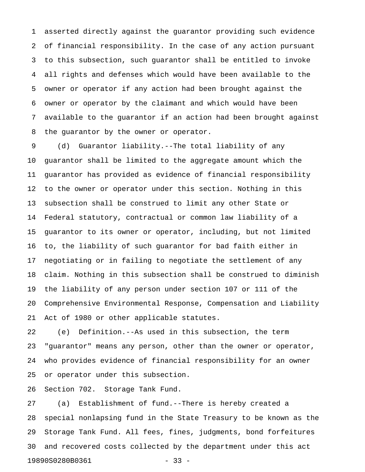1 asserted directly against the guarantor providing such evidence 2 of financial responsibility. In the case of any action pursuant 3 to this subsection, such guarantor shall be entitled to invoke 4 all rights and defenses which would have been available to the 5 owner or operator if any action had been brought against the 6 owner or operator by the claimant and which would have been 7 available to the guarantor if an action had been brought against 8 the guarantor by the owner or operator.

9 (d) Guarantor liability.--The total liability of any 10 guarantor shall be limited to the aggregate amount which the 11 guarantor has provided as evidence of financial responsibility 12 to the owner or operator under this section. Nothing in this 13 subsection shall be construed to limit any other State or 14 Federal statutory, contractual or common law liability of a 15 guarantor to its owner or operator, including, but not limited 16 to, the liability of such guarantor for bad faith either in 17 negotiating or in failing to negotiate the settlement of any 18 claim. Nothing in this subsection shall be construed to diminish 19 the liability of any person under section 107 or 111 of the 20 Comprehensive Environmental Response, Compensation and Liability 21 Act of 1980 or other applicable statutes.

22 (e) Definition.--As used in this subsection, the term 23 "guarantor" means any person, other than the owner or operator, 24 who provides evidence of financial responsibility for an owner 25 or operator under this subsection.

26 Section 702. Storage Tank Fund.

27 (a) Establishment of fund.--There is hereby created a 28 special nonlapsing fund in the State Treasury to be known as the 29 Storage Tank Fund. All fees, fines, judgments, bond forfeitures 30 and recovered costs collected by the department under this act 19890S0280B0361 - 33 -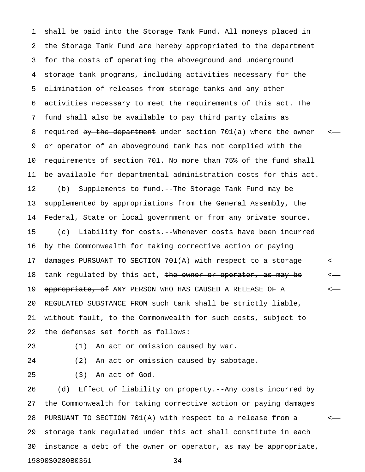1 shall be paid into the Storage Tank Fund. All moneys placed in 2 the Storage Tank Fund are hereby appropriated to the department 3 for the costs of operating the aboveground and underground 4 storage tank programs, including activities necessary for the 5 elimination of releases from storage tanks and any other 6 activities necessary to meet the requirements of this act. The 7 fund shall also be available to pay third party claims as 8 required by the department under section 701(a) where the owner 9 or operator of an aboveground tank has not complied with the 10 requirements of section 701. No more than 75% of the fund shall 11 be available for departmental administration costs for this act. 12 (b) Supplements to fund.--The Storage Tank Fund may be 13 supplemented by appropriations from the General Assembly, the 14 Federal, State or local government or from any private source. 15 (c) Liability for costs.--Whenever costs have been incurred 16 by the Commonwealth for taking corrective action or paying 17 damages PURSUANT TO SECTION 701(A) with respect to a storage < 18 tank regulated by this act, the owner or operator, as may be  $\leftarrow$ 19 appropriate, of ANY PERSON WHO HAS CAUSED A RELEASE OF A  $\sim$ 20 REGULATED SUBSTANCE FROM such tank shall be strictly liable, 21 without fault, to the Commonwealth for such costs, subject to 22 the defenses set forth as follows:

23 (1) An act or omission caused by war.

24 (2) An act or omission caused by sabotage.

25 (3) An act of God.

26 (d) Effect of liability on property.--Any costs incurred by 27 the Commonwealth for taking corrective action or paying damages 28 PURSUANT TO SECTION 701(A) with respect to a release from a < 29 storage tank regulated under this act shall constitute in each 30 instance a debt of the owner or operator, as may be appropriate, 19890S0280B0361 - 34 -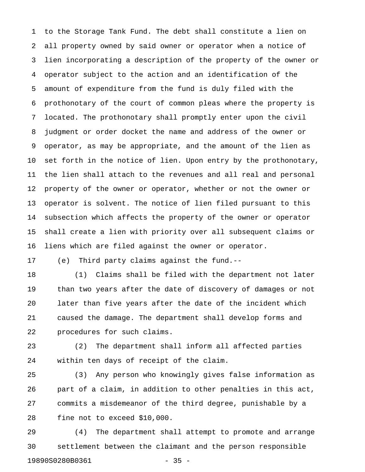1 to the Storage Tank Fund. The debt shall constitute a lien on 2 all property owned by said owner or operator when a notice of 3 lien incorporating a description of the property of the owner or 4 operator subject to the action and an identification of the 5 amount of expenditure from the fund is duly filed with the 6 prothonotary of the court of common pleas where the property is 7 located. The prothonotary shall promptly enter upon the civil 8 judgment or order docket the name and address of the owner or 9 operator, as may be appropriate, and the amount of the lien as 10 set forth in the notice of lien. Upon entry by the prothonotary, 11 the lien shall attach to the revenues and all real and personal 12 property of the owner or operator, whether or not the owner or 13 operator is solvent. The notice of lien filed pursuant to this 14 subsection which affects the property of the owner or operator 15 shall create a lien with priority over all subsequent claims or 16 liens which are filed against the owner or operator.

17 (e) Third party claims against the fund.--

18 (1) Claims shall be filed with the department not later 19 than two years after the date of discovery of damages or not 20 later than five years after the date of the incident which 21 caused the damage. The department shall develop forms and 22 procedures for such claims.

23 (2) The department shall inform all affected parties 24 within ten days of receipt of the claim.

25 (3) Any person who knowingly gives false information as 26 part of a claim, in addition to other penalties in this act, 27 commits a misdemeanor of the third degree, punishable by a 28 fine not to exceed \$10,000.

29 (4) The department shall attempt to promote and arrange 30 settlement between the claimant and the person responsible 19890S0280B0361 - 35 -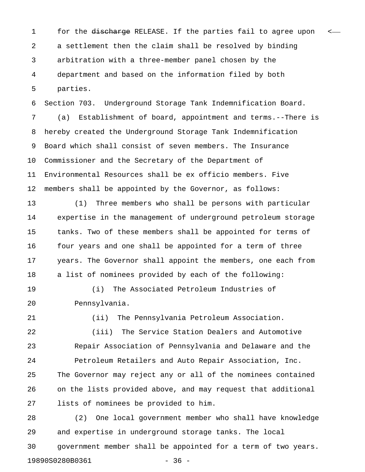1 for the discharge RELEASE. If the parties fail to agree upon < 2 a settlement then the claim shall be resolved by binding 3 arbitration with a three-member panel chosen by the 4 department and based on the information filed by both 5 parties.

6 Section 703. Underground Storage Tank Indemnification Board. 7 (a) Establishment of board, appointment and terms.--There is 8 hereby created the Underground Storage Tank Indemnification 9 Board which shall consist of seven members. The Insurance 10 Commissioner and the Secretary of the Department of 11 Environmental Resources shall be ex officio members. Five 12 members shall be appointed by the Governor, as follows:

13 (1) Three members who shall be persons with particular 14 expertise in the management of underground petroleum storage 15 tanks. Two of these members shall be appointed for terms of 16 four years and one shall be appointed for a term of three 17 years. The Governor shall appoint the members, one each from 18 a list of nominees provided by each of the following:

19 (i) The Associated Petroleum Industries of 20 Pennsylvania.

21 (ii) The Pennsylvania Petroleum Association. 22 (iii) The Service Station Dealers and Automotive 23 Repair Association of Pennsylvania and Delaware and the 24 Petroleum Retailers and Auto Repair Association, Inc. 25 The Governor may reject any or all of the nominees contained 26 on the lists provided above, and may request that additional 27 lists of nominees be provided to him.

28 (2) One local government member who shall have knowledge 29 and expertise in underground storage tanks. The local 30 government member shall be appointed for a term of two years. 19890S0280B0361 - 36 -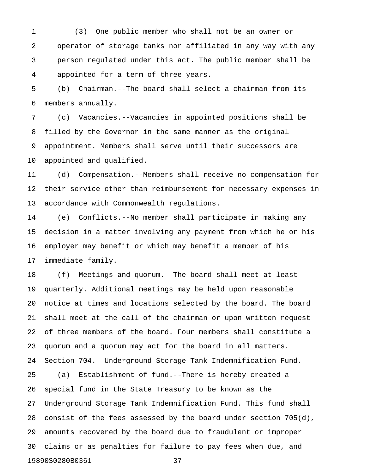1 (3) One public member who shall not be an owner or 2 operator of storage tanks nor affiliated in any way with any 3 person regulated under this act. The public member shall be 4 appointed for a term of three years.

5 (b) Chairman.--The board shall select a chairman from its 6 members annually.

7 (c) Vacancies.--Vacancies in appointed positions shall be 8 filled by the Governor in the same manner as the original 9 appointment. Members shall serve until their successors are 10 appointed and qualified.

11 (d) Compensation.--Members shall receive no compensation for 12 their service other than reimbursement for necessary expenses in 13 accordance with Commonwealth regulations.

14 (e) Conflicts.--No member shall participate in making any 15 decision in a matter involving any payment from which he or his 16 employer may benefit or which may benefit a member of his 17 immediate family.

18 (f) Meetings and quorum.--The board shall meet at least 19 quarterly. Additional meetings may be held upon reasonable 20 notice at times and locations selected by the board. The board 21 shall meet at the call of the chairman or upon written request 22 of three members of the board. Four members shall constitute a 23 quorum and a quorum may act for the board in all matters. 24 Section 704. Underground Storage Tank Indemnification Fund. 25 (a) Establishment of fund.--There is hereby created a 26 special fund in the State Treasury to be known as the 27 Underground Storage Tank Indemnification Fund. This fund shall 28 consist of the fees assessed by the board under section  $705(d)$ , 29 amounts recovered by the board due to fraudulent or improper 30 claims or as penalties for failure to pay fees when due, and 19890S0280B0361 - 37 -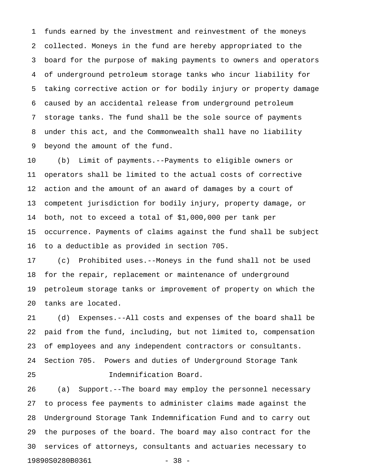1 funds earned by the investment and reinvestment of the moneys 2 collected. Moneys in the fund are hereby appropriated to the 3 board for the purpose of making payments to owners and operators 4 of underground petroleum storage tanks who incur liability for 5 taking corrective action or for bodily injury or property damage 6 caused by an accidental release from underground petroleum 7 storage tanks. The fund shall be the sole source of payments 8 under this act, and the Commonwealth shall have no liability 9 beyond the amount of the fund.

10 (b) Limit of payments.--Payments to eligible owners or 11 operators shall be limited to the actual costs of corrective 12 action and the amount of an award of damages by a court of 13 competent jurisdiction for bodily injury, property damage, or 14 both, not to exceed a total of \$1,000,000 per tank per 15 occurrence. Payments of claims against the fund shall be subject 16 to a deductible as provided in section 705.

17 (c) Prohibited uses.--Moneys in the fund shall not be used 18 for the repair, replacement or maintenance of underground 19 petroleum storage tanks or improvement of property on which the 20 tanks are located.

21 (d) Expenses.--All costs and expenses of the board shall be 22 paid from the fund, including, but not limited to, compensation 23 of employees and any independent contractors or consultants. 24 Section 705. Powers and duties of Underground Storage Tank 25 Indemnification Board.

26 (a) Support.--The board may employ the personnel necessary 27 to process fee payments to administer claims made against the 28 Underground Storage Tank Indemnification Fund and to carry out 29 the purposes of the board. The board may also contract for the 30 services of attorneys, consultants and actuaries necessary to 19890S0280B0361 - 38 -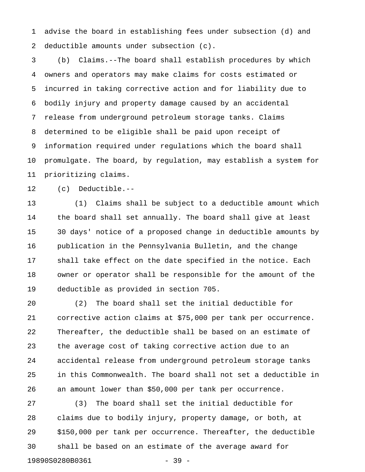1 advise the board in establishing fees under subsection (d) and 2 deductible amounts under subsection (c).

3 (b) Claims.--The board shall establish procedures by which 4 owners and operators may make claims for costs estimated or 5 incurred in taking corrective action and for liability due to 6 bodily injury and property damage caused by an accidental 7 release from underground petroleum storage tanks. Claims 8 determined to be eligible shall be paid upon receipt of 9 information required under regulations which the board shall 10 promulgate. The board, by regulation, may establish a system for 11 prioritizing claims.

12 (c) Deductible.--

13 (1) Claims shall be subject to a deductible amount which 14 the board shall set annually. The board shall give at least 15 30 days' notice of a proposed change in deductible amounts by 16 publication in the Pennsylvania Bulletin, and the change 17 shall take effect on the date specified in the notice. Each 18 owner or operator shall be responsible for the amount of the 19 deductible as provided in section 705.

20 (2) The board shall set the initial deductible for 21 corrective action claims at \$75,000 per tank per occurrence. 22 Thereafter, the deductible shall be based on an estimate of 23 the average cost of taking corrective action due to an 24 accidental release from underground petroleum storage tanks 25 in this Commonwealth. The board shall not set a deductible in 26 an amount lower than \$50,000 per tank per occurrence.

27 (3) The board shall set the initial deductible for 28 claims due to bodily injury, property damage, or both, at 29 \$150,000 per tank per occurrence. Thereafter, the deductible 30 shall be based on an estimate of the average award for 19890S0280B0361 - 39 -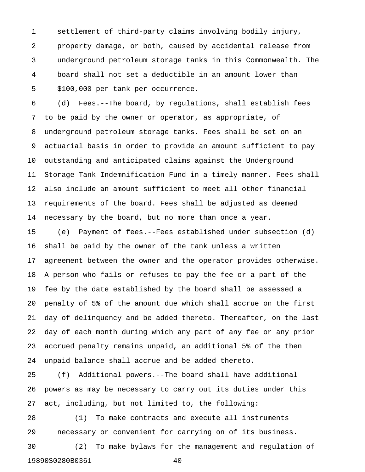1 settlement of third-party claims involving bodily injury, 2 property damage, or both, caused by accidental release from 3 underground petroleum storage tanks in this Commonwealth. The 4 board shall not set a deductible in an amount lower than 5 \$100,000 per tank per occurrence.

6 (d) Fees.--The board, by regulations, shall establish fees 7 to be paid by the owner or operator, as appropriate, of 8 underground petroleum storage tanks. Fees shall be set on an 9 actuarial basis in order to provide an amount sufficient to pay 10 outstanding and anticipated claims against the Underground 11 Storage Tank Indemnification Fund in a timely manner. Fees shall 12 also include an amount sufficient to meet all other financial 13 requirements of the board. Fees shall be adjusted as deemed 14 necessary by the board, but no more than once a year.

15 (e) Payment of fees.--Fees established under subsection (d) 16 shall be paid by the owner of the tank unless a written 17 agreement between the owner and the operator provides otherwise. 18 A person who fails or refuses to pay the fee or a part of the 19 fee by the date established by the board shall be assessed a 20 penalty of 5% of the amount due which shall accrue on the first 21 day of delinquency and be added thereto. Thereafter, on the last 22 day of each month during which any part of any fee or any prior 23 accrued penalty remains unpaid, an additional 5% of the then 24 unpaid balance shall accrue and be added thereto.

25 (f) Additional powers.--The board shall have additional 26 powers as may be necessary to carry out its duties under this 27 act, including, but not limited to, the following:

28 (1) To make contracts and execute all instruments 29 necessary or convenient for carrying on of its business. 30 (2) To make bylaws for the management and regulation of 19890S0280B0361 - 40 -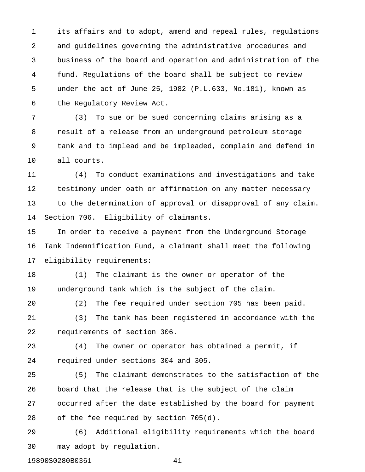1 its affairs and to adopt, amend and repeal rules, regulations 2 and guidelines governing the administrative procedures and 3 business of the board and operation and administration of the 4 fund. Regulations of the board shall be subject to review 5 under the act of June 25, 1982 (P.L.633, No.181), known as 6 the Regulatory Review Act.

7 (3) To sue or be sued concerning claims arising as a 8 result of a release from an underground petroleum storage 9 tank and to implead and be impleaded, complain and defend in 10 all courts.

11 (4) To conduct examinations and investigations and take 12 testimony under oath or affirmation on any matter necessary 13 to the determination of approval or disapproval of any claim. 14 Section 706. Eligibility of claimants.

15 In order to receive a payment from the Underground Storage 16 Tank Indemnification Fund, a claimant shall meet the following 17 eligibility requirements:

18 (1) The claimant is the owner or operator of the 19 underground tank which is the subject of the claim.

20 (2) The fee required under section 705 has been paid. 21 (3) The tank has been registered in accordance with the 22 requirements of section 306.

23 (4) The owner or operator has obtained a permit, if 24 required under sections 304 and 305.

25 (5) The claimant demonstrates to the satisfaction of the 26 board that the release that is the subject of the claim 27 occurred after the date established by the board for payment 28 of the fee required by section 705(d).

29 (6) Additional eligibility requirements which the board 30 may adopt by regulation.

19890S0280B0361 - 41 -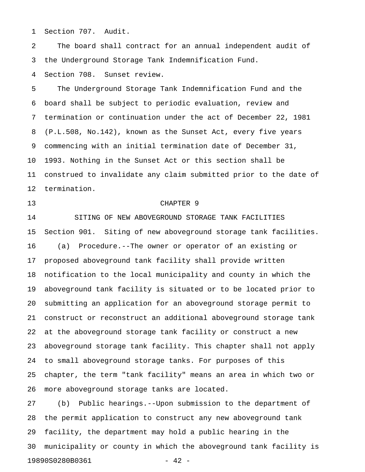1 Section 707. Audit.

2 The board shall contract for an annual independent audit of 3 the Underground Storage Tank Indemnification Fund.

4 Section 708. Sunset review.

5 The Underground Storage Tank Indemnification Fund and the 6 board shall be subject to periodic evaluation, review and 7 termination or continuation under the act of December 22, 1981 8 (P.L.508, No.142), known as the Sunset Act, every five years 9 commencing with an initial termination date of December 31, 10 1993. Nothing in the Sunset Act or this section shall be 11 construed to invalidate any claim submitted prior to the date of 12 termination.

### 13 CHAPTER 9

14 SITING OF NEW ABOVEGROUND STORAGE TANK FACILITIES 15 Section 901. Siting of new aboveground storage tank facilities. 16 (a) Procedure.--The owner or operator of an existing or 17 proposed aboveground tank facility shall provide written 18 notification to the local municipality and county in which the 19 aboveground tank facility is situated or to be located prior to 20 submitting an application for an aboveground storage permit to 21 construct or reconstruct an additional aboveground storage tank 22 at the aboveground storage tank facility or construct a new 23 aboveground storage tank facility. This chapter shall not apply 24 to small aboveground storage tanks. For purposes of this 25 chapter, the term "tank facility" means an area in which two or 26 more aboveground storage tanks are located.

27 (b) Public hearings.--Upon submission to the department of 28 the permit application to construct any new aboveground tank 29 facility, the department may hold a public hearing in the 30 municipality or county in which the aboveground tank facility is 19890S0280B0361 - 42 -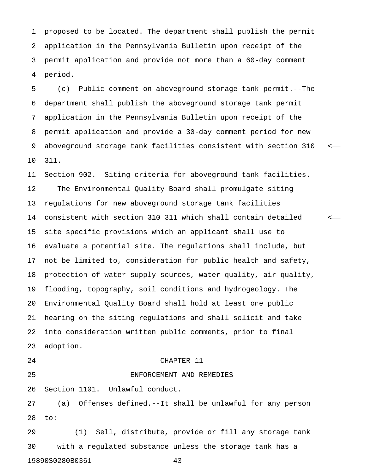1 proposed to be located. The department shall publish the permit 2 application in the Pennsylvania Bulletin upon receipt of the 3 permit application and provide not more than a 60-day comment 4 period.

5 (c) Public comment on aboveground storage tank permit.--The 6 department shall publish the aboveground storage tank permit 7 application in the Pennsylvania Bulletin upon receipt of the 8 permit application and provide a 30-day comment period for new 9 aboveground storage tank facilities consistent with section  $310$  <-10 311.

11 Section 902. Siting criteria for aboveground tank facilities. 12 The Environmental Quality Board shall promulgate siting 13 regulations for new aboveground storage tank facilities 14 consistent with section 310 311 which shall contain detailed < 15 site specific provisions which an applicant shall use to 16 evaluate a potential site. The regulations shall include, but 17 not be limited to, consideration for public health and safety, 18 protection of water supply sources, water quality, air quality, 19 flooding, topography, soil conditions and hydrogeology. The 20 Environmental Quality Board shall hold at least one public 21 hearing on the siting regulations and shall solicit and take 22 into consideration written public comments, prior to final 23 adoption. 24 CHAPTER 11 25 ENFORCEMENT AND REMEDIES

26 Section 1101. Unlawful conduct.

27 (a) Offenses defined.--It shall be unlawful for any person 28 to:

29 (1) Sell, distribute, provide or fill any storage tank 30 with a regulated substance unless the storage tank has a 19890S0280B0361 - 43 -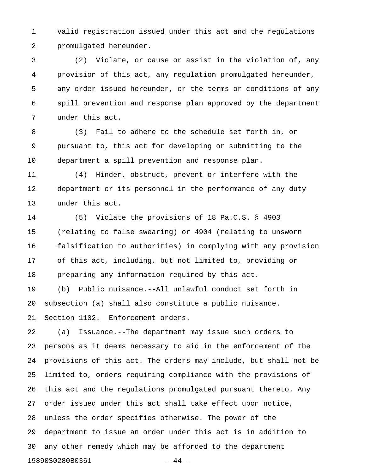1 valid registration issued under this act and the regulations 2 promulgated hereunder.

3 (2) Violate, or cause or assist in the violation of, any 4 provision of this act, any regulation promulgated hereunder, 5 any order issued hereunder, or the terms or conditions of any 6 spill prevention and response plan approved by the department 7 under this act.

8 (3) Fail to adhere to the schedule set forth in, or 9 pursuant to, this act for developing or submitting to the 10 department a spill prevention and response plan.

11 (4) Hinder, obstruct, prevent or interfere with the 12 department or its personnel in the performance of any duty 13 under this act.

14 (5) Violate the provisions of 18 Pa.C.S. § 4903 15 (relating to false swearing) or 4904 (relating to unsworn 16 falsification to authorities) in complying with any provision 17 of this act, including, but not limited to, providing or 18 preparing any information required by this act. 19 (b) Public nuisance.--All unlawful conduct set forth in

20 subsection (a) shall also constitute a public nuisance.

21 Section 1102. Enforcement orders.

22 (a) Issuance.--The department may issue such orders to 23 persons as it deems necessary to aid in the enforcement of the 24 provisions of this act. The orders may include, but shall not be 25 limited to, orders requiring compliance with the provisions of 26 this act and the regulations promulgated pursuant thereto. Any 27 order issued under this act shall take effect upon notice, 28 unless the order specifies otherwise. The power of the 29 department to issue an order under this act is in addition to 30 any other remedy which may be afforded to the department 19890S0280B0361 - 44 -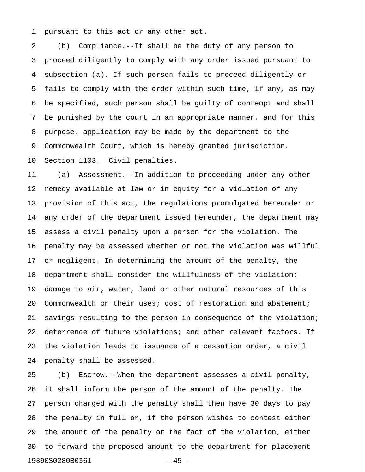1 pursuant to this act or any other act.

2 (b) Compliance.--It shall be the duty of any person to 3 proceed diligently to comply with any order issued pursuant to 4 subsection (a). If such person fails to proceed diligently or 5 fails to comply with the order within such time, if any, as may 6 be specified, such person shall be guilty of contempt and shall 7 be punished by the court in an appropriate manner, and for this 8 purpose, application may be made by the department to the 9 Commonwealth Court, which is hereby granted jurisdiction. 10 Section 1103. Civil penalties.

11 (a) Assessment.--In addition to proceeding under any other 12 remedy available at law or in equity for a violation of any 13 provision of this act, the regulations promulgated hereunder or 14 any order of the department issued hereunder, the department may 15 assess a civil penalty upon a person for the violation. The 16 penalty may be assessed whether or not the violation was willful 17 or negligent. In determining the amount of the penalty, the 18 department shall consider the willfulness of the violation; 19 damage to air, water, land or other natural resources of this 20 Commonwealth or their uses; cost of restoration and abatement; 21 savings resulting to the person in consequence of the violation; 22 deterrence of future violations; and other relevant factors. If 23 the violation leads to issuance of a cessation order, a civil 24 penalty shall be assessed.

25 (b) Escrow.--When the department assesses a civil penalty, 26 it shall inform the person of the amount of the penalty. The 27 person charged with the penalty shall then have 30 days to pay 28 the penalty in full or, if the person wishes to contest either 29 the amount of the penalty or the fact of the violation, either 30 to forward the proposed amount to the department for placement 19890S0280B0361 - 45 -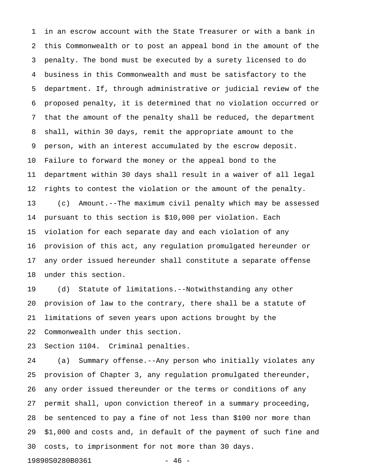1 in an escrow account with the State Treasurer or with a bank in 2 this Commonwealth or to post an appeal bond in the amount of the 3 penalty. The bond must be executed by a surety licensed to do 4 business in this Commonwealth and must be satisfactory to the 5 department. If, through administrative or judicial review of the 6 proposed penalty, it is determined that no violation occurred or 7 that the amount of the penalty shall be reduced, the department 8 shall, within 30 days, remit the appropriate amount to the 9 person, with an interest accumulated by the escrow deposit. 10 Failure to forward the money or the appeal bond to the 11 department within 30 days shall result in a waiver of all legal 12 rights to contest the violation or the amount of the penalty. 13 (c) Amount.--The maximum civil penalty which may be assessed 14 pursuant to this section is \$10,000 per violation. Each 15 violation for each separate day and each violation of any 16 provision of this act, any regulation promulgated hereunder or 17 any order issued hereunder shall constitute a separate offense 18 under this section.

19 (d) Statute of limitations.--Notwithstanding any other 20 provision of law to the contrary, there shall be a statute of 21 limitations of seven years upon actions brought by the 22 Commonwealth under this section.

23 Section 1104. Criminal penalties.

24 (a) Summary offense.--Any person who initially violates any 25 provision of Chapter 3, any regulation promulgated thereunder, 26 any order issued thereunder or the terms or conditions of any 27 permit shall, upon conviction thereof in a summary proceeding, 28 be sentenced to pay a fine of not less than \$100 nor more than 29 \$1,000 and costs and, in default of the payment of such fine and 30 costs, to imprisonment for not more than 30 days.

19890S0280B0361 - 46 -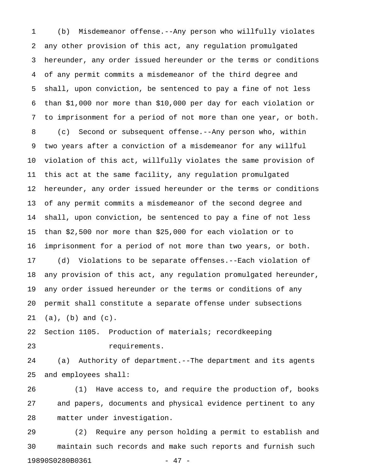1 (b) Misdemeanor offense.--Any person who willfully violates 2 any other provision of this act, any regulation promulgated 3 hereunder, any order issued hereunder or the terms or conditions 4 of any permit commits a misdemeanor of the third degree and 5 shall, upon conviction, be sentenced to pay a fine of not less 6 than \$1,000 nor more than \$10,000 per day for each violation or 7 to imprisonment for a period of not more than one year, or both. 8 (c) Second or subsequent offense.--Any person who, within 9 two years after a conviction of a misdemeanor for any willful 10 violation of this act, willfully violates the same provision of 11 this act at the same facility, any regulation promulgated 12 hereunder, any order issued hereunder or the terms or conditions 13 of any permit commits a misdemeanor of the second degree and 14 shall, upon conviction, be sentenced to pay a fine of not less 15 than \$2,500 nor more than \$25,000 for each violation or to 16 imprisonment for a period of not more than two years, or both. 17 (d) Violations to be separate offenses.--Each violation of 18 any provision of this act, any regulation promulgated hereunder, 19 any order issued hereunder or the terms or conditions of any 20 permit shall constitute a separate offense under subsections 21 (a), (b) and (c). 22 Section 1105. Production of materials; recordkeeping 23 requirements.

24 (a) Authority of department.--The department and its agents 25 and employees shall:

26 (1) Have access to, and require the production of, books 27 and papers, documents and physical evidence pertinent to any 28 matter under investigation.

29 (2) Require any person holding a permit to establish and 30 maintain such records and make such reports and furnish such 19890S0280B0361 - 47 -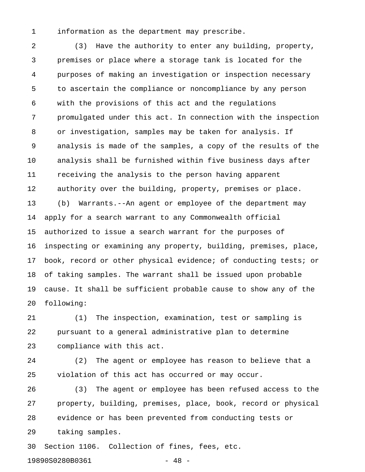1 information as the department may prescribe.

2 (3) Have the authority to enter any building, property, 3 premises or place where a storage tank is located for the 4 purposes of making an investigation or inspection necessary 5 to ascertain the compliance or noncompliance by any person 6 with the provisions of this act and the regulations 7 promulgated under this act. In connection with the inspection 8 or investigation, samples may be taken for analysis. If 9 analysis is made of the samples, a copy of the results of the 10 analysis shall be furnished within five business days after 11 receiving the analysis to the person having apparent 12 authority over the building, property, premises or place. 13 (b) Warrants.--An agent or employee of the department may 14 apply for a search warrant to any Commonwealth official 15 authorized to issue a search warrant for the purposes of 16 inspecting or examining any property, building, premises, place, 17 book, record or other physical evidence; of conducting tests; or 18 of taking samples. The warrant shall be issued upon probable 19 cause. It shall be sufficient probable cause to show any of the 20 following:

21 (1) The inspection, examination, test or sampling is 22 pursuant to a general administrative plan to determine 23 compliance with this act.

24 (2) The agent or employee has reason to believe that a 25 violation of this act has occurred or may occur.

26 (3) The agent or employee has been refused access to the 27 property, building, premises, place, book, record or physical 28 evidence or has been prevented from conducting tests or 29 taking samples.

30 Section 1106. Collection of fines, fees, etc.

19890S0280B0361 - 48 -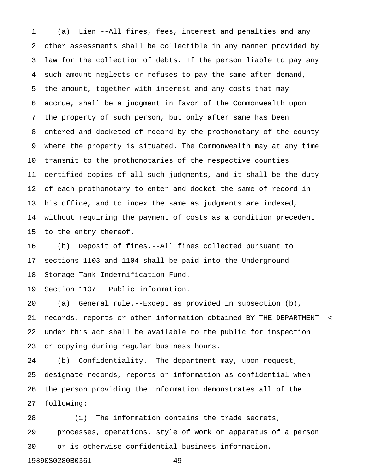1 (a) Lien.--All fines, fees, interest and penalties and any 2 other assessments shall be collectible in any manner provided by 3 law for the collection of debts. If the person liable to pay any 4 such amount neglects or refuses to pay the same after demand, 5 the amount, together with interest and any costs that may 6 accrue, shall be a judgment in favor of the Commonwealth upon 7 the property of such person, but only after same has been 8 entered and docketed of record by the prothonotary of the county 9 where the property is situated. The Commonwealth may at any time 10 transmit to the prothonotaries of the respective counties 11 certified copies of all such judgments, and it shall be the duty 12 of each prothonotary to enter and docket the same of record in 13 his office, and to index the same as judgments are indexed, 14 without requiring the payment of costs as a condition precedent 15 to the entry thereof.

16 (b) Deposit of fines.--All fines collected pursuant to 17 sections 1103 and 1104 shall be paid into the Underground 18 Storage Tank Indemnification Fund.

19 Section 1107. Public information.

20 (a) General rule.--Except as provided in subsection (b), 21 records, reports or other information obtained BY THE DEPARTMENT < 22 under this act shall be available to the public for inspection 23 or copying during regular business hours.

24 (b) Confidentiality.--The department may, upon request, 25 designate records, reports or information as confidential when 26 the person providing the information demonstrates all of the 27 following:

28 (1) The information contains the trade secrets, 29 processes, operations, style of work or apparatus of a person 30 or is otherwise confidential business information.

19890S0280B0361 - 49 -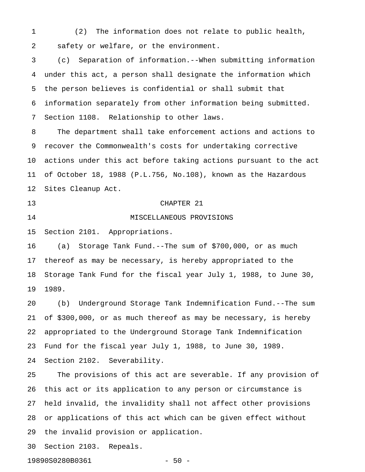1 (2) The information does not relate to public health, 2 safety or welfare, or the environment.

3 (c) Separation of information.--When submitting information 4 under this act, a person shall designate the information which 5 the person believes is confidential or shall submit that 6 information separately from other information being submitted. 7 Section 1108. Relationship to other laws.

8 The department shall take enforcement actions and actions to 9 recover the Commonwealth's costs for undertaking corrective 10 actions under this act before taking actions pursuant to the act 11 of October 18, 1988 (P.L.756, No.108), known as the Hazardous 12 Sites Cleanup Act.

13 CHAPTER 21 14 MISCELLANEOUS PROVISIONS

15 Section 2101. Appropriations.

16 (a) Storage Tank Fund.--The sum of \$700,000, or as much 17 thereof as may be necessary, is hereby appropriated to the 18 Storage Tank Fund for the fiscal year July 1, 1988, to June 30, 19 1989.

20 (b) Underground Storage Tank Indemnification Fund.--The sum 21 of \$300,000, or as much thereof as may be necessary, is hereby 22 appropriated to the Underground Storage Tank Indemnification 23 Fund for the fiscal year July 1, 1988, to June 30, 1989. 24 Section 2102. Severability.

25 The provisions of this act are severable. If any provision of 26 this act or its application to any person or circumstance is 27 held invalid, the invalidity shall not affect other provisions 28 or applications of this act which can be given effect without 29 the invalid provision or application.

30 Section 2103. Repeals.

19890S0280B0361 - 50 -